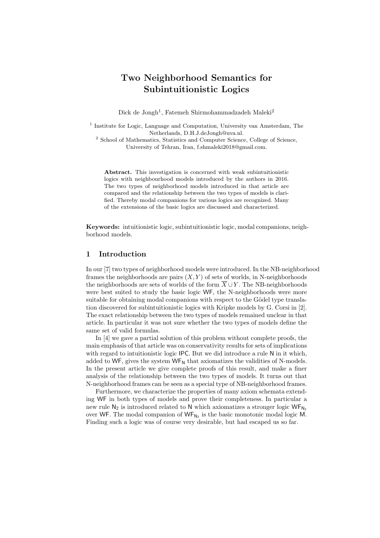# **Two Neighborhood Semantics for Subintuitionistic Logics**

Dick de Jongh<sup>1</sup>, Fatemeh Shirmohammadzadeh Maleki<sup>2</sup>

<sup>1</sup> Institute for Logic, Language and Computation, University van Amsterdam, The Netherlands, D.H.J.deJongh@uva.nl.

<sup>2</sup> School of Mathematics, Statistics and Computer Science, College of Science, University of Tehran, Iran, f.shmaleki2018@gmail.com.

**Abstract.** This investigation is concerned with weak subintuitionistic logics with neighbourhood models introduced by the authors in 2016. The two types of neighborhood models introduced in that article are compared and the relationship between the two types of models is clarified. Thereby modal companions for various logics are recognized. Many of the extensions of the basic logics are discussed and characterized.

**Keywords:** intuitionistic logic, subintuitionistic logic, modal companions, neighborhood models.

### **1 Introduction**

In our [7] two types of neighborhood models were introduced. In the NB-neighborhood frames the neighborhoods are pairs  $(X, Y)$  of sets of worlds, in N-neighborhoods the neighborhoods are sets of worlds of the form  $\overline{X} \cup Y$ . The NB-neighborhoods were best suited to study the basic logic WF, the N-neighborhoods were more suitable for obtaining modal companions with respect to the Gödel type translation discovered for subintuitionistic logics with Kripke models by G. Corsi in [2]. The exact relationship between the two types of models remained unclear in that article. In particular it was not sure whether the two types of models define the same set of valid formulas.

In [4] we gave a partial solution of this problem without complete proofs, the main emphasis of that article was on conservativity results for sets of implications with regard to intuitionistic logic IPC. But we did introduce a rule N in it which, added to WF, gives the system  $W_{N}$  that axiomatizes the validities of N-models. In the present article we give complete proofs of this result, and make a finer analysis of the relationship between the two types of models. It turns out that N-neighborhood frames can be seen as a special type of NB-neighborhood frames.

Furthermore, we characterize the properties of many axiom schemata extending WF in both types of models and prove their completeness. In particular a new rule  $N_2$  is introduced related to N which axiomatizes a stronger logic WF<sub>N<sub>2</sub></sub> over WF. The modal companion of  $\mathsf{WF}_{\mathsf{N}_2}$  is the basic monotonic modal logic M. Finding such a logic was of course very desirable, but had escaped us so far.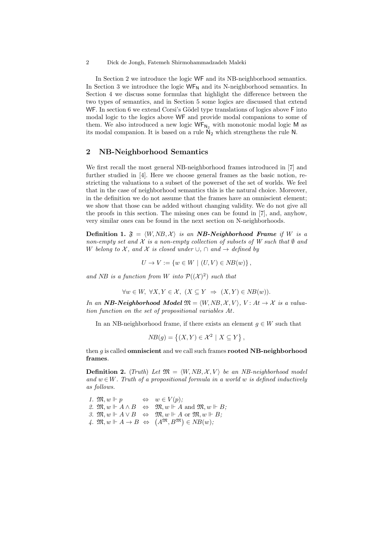In Section 2 we introduce the logic WF and its NB-neighborhood semantics. In Section 3 we introduce the logic  $WF_N$  and its N-neighborhood semantics. In Section 4 we discuss some formulas that highlight the difference between the two types of semantics, and in Section 5 some logics are discussed that extend WF. In section 6 we extend Corsi's Gödel type translations of logics above F into modal logic to the logics above WF and provide modal companions to some of them. We also introduced a new logic  $WF_{N_2}$  with monotonic modal logic M as its modal companion. It is based on a rule  $N_2$  which strengthens the rule N.

### **2 NB-Neighborhood Semantics**

We first recall the most general NB-neighborhood frames introduced in [7] and further studied in [4]. Here we choose general frames as the basic notion, restricting the valuations to a subset of the powerset of the set of worlds. We feel that in the case of neighborhood semantics this is the natural choice. Moreover, in the definition we do not assume that the frames have an omniscient element; we show that those can be added without changing validity. We do not give all the proofs in this section. The missing ones can be found in [7], and, anyhow, very similar ones can be found in the next section on N-neighborhoods.

**Definition 1.**  $\mathfrak{F} = \langle W, NB, \mathcal{X} \rangle$  *is an NB-Neighborhood Frame if W is a non-empty set and*  $X$  *is a non-empty collection of subsets of*  $W$  *such that*  $\emptyset$  *and W belong to X*, and *X is closed under*  $\cup$ ,  $\cap$  *and*  $\rightarrow$  *defined by* 

$$
U \to V := \{ w \in W \mid (U, V) \in NB(w) \},
$$

and *NB* is a function from *W* into  $P((X)^2)$  such that

$$
\forall w \in W, \ \forall X, Y \in \mathcal{X}, \ (X \subseteq Y \ \Rightarrow \ (X, Y) \in NB(w)).
$$

*In an NB-Neighborhood Model*  $\mathfrak{M} = \langle W, NB, \mathcal{X}, V \rangle$ ,  $V : At \rightarrow \mathcal{X}$  *is a valuation function on the set of propositional variables At.*

In an NB-neighborhood frame, if there exists an element  $g \in W$  such that

$$
NB(g) = \{(X, Y) \in \mathcal{X}^2 \mid X \subseteq Y\},\
$$

then *g* is called **omniscient** and we call such frames **rooted NB-neighborhood frames**.

**Definition 2.** (*Truth*) *Let*  $\mathfrak{M} = \langle W, NB, \mathcal{X}, V \rangle$  *be an NB-neighborhood model* and  $w \in W$ . Truth of a propositional formula in a world w is defined inductively *as follows.*

1.  $\mathfrak{M}, w \Vdash p \qquad \Leftrightarrow \quad w \in V(p);$ 2.  $\mathfrak{M}, w \Vdash A \wedge B \Leftrightarrow \mathfrak{M}, w \Vdash A \text{ and } \mathfrak{M}, w \Vdash B;$ *3.*  $\mathfrak{M}, w \Vdash A \lor B$   $\Leftrightarrow$   $\mathfrak{M}, w \Vdash A$  or  $\mathfrak{M}, w \Vdash B$ ;  $\mathcal{A}$ *.*  $\mathfrak{M}, w \Vdash A \to B \Leftrightarrow (A^{\mathfrak{M}}, B^{\mathfrak{M}}) \in NB(w);$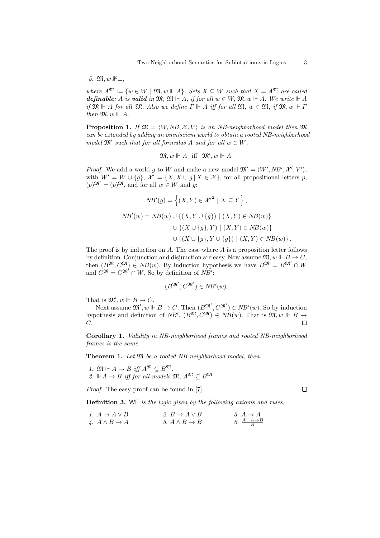*5.* M*, w* 1*⊥,*

*where*  $A^{\mathfrak{M}} := \{w \in W \mid \mathfrak{M}, w \Vdash A\}$ . Sets  $X \subseteq W$  *such that*  $X = A^{\mathfrak{M}}$  *are called definable*; *A is valid in*  $\mathfrak{M}, \mathfrak{M} \Vdash A$ , *if for all*  $w \in W$ ,  $\mathfrak{M}, w \Vdash A$ . We write  $\Vdash A$ *if*  $\mathfrak{M} \Vdash A$  *for all*  $\mathfrak{M}$ *. Also we define*  $\Gamma \Vdash A$  *iff for all*  $\mathfrak{M}$ *, w*  $\in \mathfrak{M}$ *, if*  $\mathfrak{M}$ *, w*  $\Vdash \Gamma$ *then*  $\mathfrak{M}, w \Vdash A$ .

**Proposition 1.** *If*  $\mathfrak{M} = \langle W, NB, \mathcal{X}, V \rangle$  *is an NB-neighborhood model then*  $\mathfrak{M}$ *can be extended by adding an omniscient world to obtain a rooted NB-neighborhood model*  $\mathfrak{M}'$  *such that for all formulas A and for all*  $w \in W$ *,* 

$$
\mathfrak{M}, w \Vdash A \quad \text{iff} \quad \mathfrak{M}', w \Vdash A.
$$

*Proof.* We add a world g to *W* and make a new model  $\mathfrak{M}' = \langle W', NB', \mathcal{X}', V' \rangle$ , with  $W' = W \cup \{g\}, \mathcal{X}' = \{X, X \cup g \mid X \in \mathcal{X}\},\$  for all propositional letters p,  $(p)^{\mathfrak{M}'} = (p)^{\mathfrak{M}}, \text{ and for all } w \in W \text{ and } g:$ 

$$
NB'(g) = \left\{ (X, Y) \in \mathcal{X}'^2 \mid X \subseteq Y \right\},
$$
  
\n
$$
NB'(w) = NB(w) \cup \left\{ (X, Y \cup \{g\}) \mid (X, Y) \in NB(w) \right\}
$$
  
\n
$$
\cup \left\{ (X \cup \{g\}, Y) \mid (X, Y) \in NB(w) \right\}
$$
  
\n
$$
\cup \left\{ (X \cup \{g\}, Y \cup \{g\}) \mid (X, Y) \in NB(w) \right\}.
$$

The proof is by induction on *A*. The case where *A* is a proposition letter follows by definition. Conjunction and disjunction are easy. Now assume  $\mathfrak{M}, w \Vdash B \to C$ , then  $(B^{\mathfrak{M}}, C^{\mathfrak{M}}) \in NB(w)$ . By induction hypothesis we have  $B^{\mathfrak{M}} = B^{\mathfrak{M}'} \cap W$ and  $C^{\mathfrak{M}} = C^{\mathfrak{M}'} \cap W$ . So by definition of *NB'*:

$$
(B^{\mathfrak{M}'}, C^{\mathfrak{M}'}) \in NB'(w).
$$

That is  $\mathfrak{M}', w \Vdash B \to C$ .

Next assume  $\mathfrak{M}'$ ,  $w \Vdash B \to C$ . Then  $(B^{\mathfrak{M}'}, C^{\mathfrak{M}'}) \in NB'(w)$ . So by induction hypothesis and definition of *NB'*,  $(B^{\mathfrak{M}}, C^{\mathfrak{M}}) \in NB(w)$ . That is  $\mathfrak{M}, w \Vdash B \rightarrow$ *C*.  $\Box$ 

**Corollary 1.** *Validity in NB-neighborhood frames and rooted NB-neighborhood frames is the same.*

**Theorem 1.** *Let* M *be a rooted NB-neighborhood model, then:*

*1.*  $\mathfrak{M} \Vdash A \rightarrow B$  *iff*  $A^{\mathfrak{M}} \subseteq B^{\mathfrak{M}}$ . *2.*  $\mathbb{H}$  *A* → *B iff for all models*  $\mathfrak{M}$ *, A*<sup>M</sup> ⊂ *B*<sup>M</sup>.

*Proof.* The easy proof can be found in [7].

 $\Box$ 

**Definition 3.** WF *is the logic given by the following axioms and rules,*

*1.*  $A \rightarrow A \vee B$  **2.**  $B \rightarrow A \vee B$  $4. A \wedge B \rightarrow A$  5.  $A \wedge B \rightarrow B$ *A A→B B*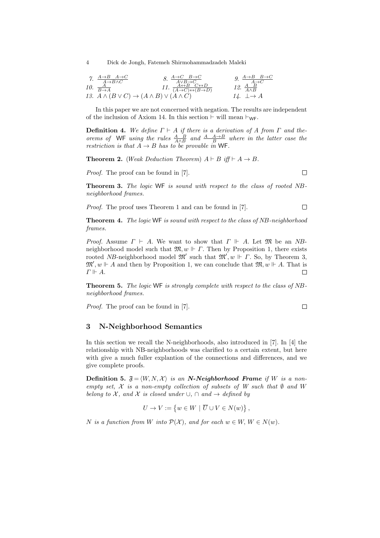7. 
$$
\frac{A \rightarrow B \quad A \rightarrow C}{A \rightarrow B \land C}
$$
  
\n8. 
$$
\frac{A \rightarrow C \quad B \rightarrow C}{A \lor B \rightarrow C}
$$
  
\n9. 
$$
\frac{A \rightarrow B \quad B \rightarrow C}{A \rightarrow C}
$$
  
\n10. 
$$
\frac{A}{B \rightarrow A}
$$
  
\n11. 
$$
\frac{A \leftrightarrow B \quad C \leftrightarrow D}{(A \rightarrow C) \leftrightarrow (B \rightarrow D)}
$$
  
\n12. 
$$
\frac{A \quad B}{A \land B}
$$
  
\n13. 
$$
A \land (B \lor C) \rightarrow (A \land B) \lor (A \land C)
$$
  
\n14. 
$$
\perp \rightarrow A
$$

In this paper we are not concerned with negation. The results are independent of the inclusion of Axiom 14. In this section  $\vdash$  will mean  $\vdash_{\mathsf{WF}}$ .

**Definition 4.** We define  $\Gamma \vdash A$  if there is a derivation of A from  $\Gamma$  and the*orems of* WF *using the rules*  $\frac{A}{A \wedge B}$  *and*  $\frac{A}{B}$  *A* $\rightarrow$ *B where in the latter case the restriction is that*  $A \rightarrow B$  *has to be provable in* WF.

**Theorem 2.** (*Weak Deduction Theorem*)  $A \vdash B$  *iff*  $\vdash A \rightarrow B$ *.* 

*Proof.* The proof can be found in [7].

**Theorem 3.** *The logic* WF *is sound with respect to the class of rooted NBneighborhood frames.*

 $\Box$ 

 $\Box$ 

*Proof.* The proof uses Theorem 1 and can be found in [7].  $\Box$ 

**Theorem 4.** *The logic* WF *is sound with respect to the class of NB-neighborhood frames.*

*Proof.* Assume  $\Gamma \vdash A$ . We want to show that  $\Gamma \Vdash A$ . Let M be an *NB*neighborhood model such that  $\mathfrak{M}, w \Vdash \Gamma$ . Then by Proposition 1, there exists rooted *NB*-neighborhood model  $\mathfrak{M}'$  such that  $\mathfrak{M}'$ , *w*  $\Vdash$  *Γ*. So, by Theorem 3,  $\mathfrak{M}'$ ,  $w \Vdash A$  and then by Proposition 1, we can conclude that  $\mathfrak{M}, w \Vdash A$ . That is *Γ A*.  $\Box$ 

**Theorem 5.** *The logic* WF *is strongly complete with respect to the class of NBneighborhood frames.*

*Proof.* The proof can be found in [7].

**3 N-Neighborhood Semantics**

In this section we recall the N-neighborhoods, also introduced in [7]. In [4] the relationship with NB-neighborhoods was clarified to a certain extent, but here with give a much fuller explantion of the connections and differences, and we give complete proofs.

**Definition 5.**  $\mathfrak{F} = \langle W, N, \mathcal{X} \rangle$  *is an N-Neighborhood Frame if W is a nonempty set,*  $X$  *is a non-empty collection of subsets of*  $W$  *such that*  $\emptyset$  *and*  $W$ *belong to X*, and *X is closed under*  $\cup$ ,  $\cap$  *and*  $\rightarrow$  *defined by* 

$$
U \to V := \{ w \in W \mid \overline{U} \cup V \in N(w) \},
$$

*N* is a function from *W* into  $P(X)$ , and for each  $w \in W$ ,  $W \in N(w)$ .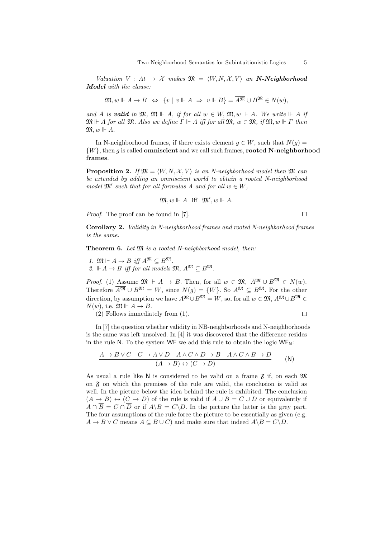*Valuation*  $V: At \rightarrow \mathcal{X}$  *makes*  $\mathfrak{M} = \langle W, N, \mathcal{X}, V \rangle$  *an* **N-Neighborhood** *Model with the clause:*

$$
\mathfrak{M}, w \Vdash A \to B \Leftrightarrow \{v \mid v \Vdash A \Rightarrow v \Vdash B\} = \overline{A^{\mathfrak{M}}} \cup B^{\mathfrak{M}} \in N(w),
$$

*and A is valid in*  $\mathfrak{M}$ *,*  $\mathfrak{M}$   $\vdash$  *A, if for all*  $w \in W$ *,*  $\mathfrak{M}$ *,*  $w \Vdash$  *A. We write*  $\Vdash$  *A if*  $\mathfrak{M} \Vdash A$  *for all*  $\mathfrak{M}$ *. Also we define*  $\Gamma \Vdash A$  *iff for all*  $\mathfrak{M}, w \in \mathfrak{M}$ *, if*  $\mathfrak{M}, w \Vdash \Gamma$  *then*  $\mathfrak{M}, w \Vdash A.$ 

In N-neighborhood frames, if there exists element  $q \in W$ , such that  $N(q) =$ *{W}*, then *g* is called **omniscient** and we call such frames, **rooted N-neighborhood frames**.

**Proposition 2.** *If*  $\mathfrak{M} = \langle W, N, \mathcal{X}, V \rangle$  *is an N-neighborhood model then*  $\mathfrak{M}$  *can be extended by adding an omniscient world to obtain a rooted N-neighborhood model*  $\mathfrak{M}'$  *such that for all formulas A and for all*  $w \in W$ *,* 

$$
\mathfrak{M}, w \Vdash A \quad \text{iff} \quad \mathfrak{M}', w \Vdash A.
$$

*Proof.* The proof can be found in [7].

 $\Box$ 

**Corollary 2.** *Validity in N-neighborhood frames and rooted N-neighborhood frames is the same.*

**Theorem 6.** *Let* M *is a rooted N-neighborhood model, then:*

*I.*  $\mathfrak{M} \Vdash A \to B$  *iff*  $A^{\mathfrak{M}} \subseteq B^{\mathfrak{M}}$ . *2.*  $\Vdash A → B$  *iff for all models*  $\mathfrak{M}, A^{\mathfrak{M}} ⊆ B^{\mathfrak{M}}$ *.* 

*Proof.* (1) Assume  $\mathfrak{M} \Vdash A \to B$ . Then, for all  $w \in \mathfrak{M}$ ,  $\overline{A^{\mathfrak{M}}} \cup B^{\mathfrak{M}} \in N(w)$ . Therefore  $\overline{A^{\mathfrak{M}}} \cup B^{\mathfrak{M}} = W$ , since  $N(q) = \{W\}$ . So  $A^{\mathfrak{M}} \subseteq B^{\mathfrak{M}}$ . For the other direction, by assumption we have  $\overline{A^{\mathfrak{M}}} \cup B^{\mathfrak{M}} = W$ , so, for all  $w \in \mathfrak{M}, \overline{A^{\mathfrak{M}}} \cup B^{\mathfrak{M}} \in$  $N(w)$ , i.e.  $\mathfrak{M} \Vdash A \to B$ .

(2) Follows immediately from (1).

$$
\sqcup\!\!\sqcup
$$

In [7] the question whether validity in NB-neighborhoods and N-neighborhoods is the same was left unsolved. In  $[4]$  it was discovered that the difference resides in the rule N. To the system WF we add this rule to obtain the logic  $WF_N$ :

$$
\frac{A \to B \lor C \quad C \to A \lor D \quad A \land C \land D \to B \quad A \land C \land B \to D}{(A \to B) \leftrightarrow (C \to D)} \qquad (\mathsf{N})
$$

As usual a rule like N is considered to be valid on a frame  $\tilde{\mathfrak{F}}$  if, on each  $\mathfrak{M}$ on  $\tilde{\mathfrak{F}}$  on which the premises of the rule are valid, the conclusion is valid as well. In the picture below the idea behind the rule is exhibited. The conclusion  $(A \rightarrow B) \leftrightarrow (C \rightarrow D)$  of the rule is valid if  $\overline{A} \cup B = \overline{C} \cup D$  or equivalently if  $A \cap \overline{B} = C \cap \overline{D}$  or if  $A \backslash B = C \backslash D$ . In the picture the latter is the grey part. The four assumptions of the rule force the picture to be essentially as given (e.g.  $A \rightarrow B \vee C$  means  $A \subseteq B \cup C$  and make sure that indeed  $A \setminus B = C \setminus D$ .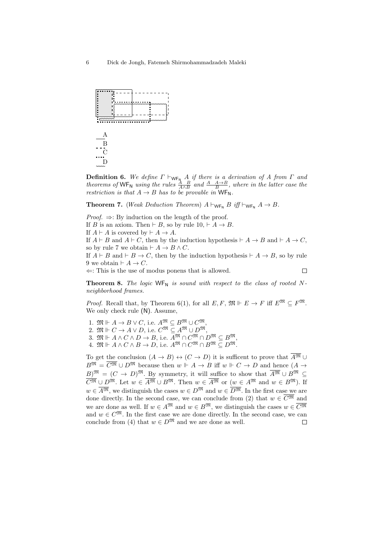

**Definition 6.** We define  $Γ$   $\vdash_{\mathsf{WF}_{\mathsf{N}}} A$  *if there is a derivation of A from*  $Γ$  *and theorems of*  $WF_N$  *using the rules*  $\frac{A}{A \wedge B}$  *and*  $\frac{A}{B} \wedge \frac{A \rightarrow B}{B}$ , *where in the latter case the restriction is that*  $A \rightarrow B$  *has to be provable in*  $WF_N$ *.* 

**Theorem 7.** (*Weak Deduction Theorem*)  $A \vdash_{\mathsf{WF}_{\mathsf{N}}} B$  *iff*  $\vdash_{\mathsf{WF}_{\mathsf{N}}} A \rightarrow B$ *.* 

*Proof.* ⇒: By induction on the length of the proof.

If *B* is an axiom. Then  $\vdash$  *B*, so by rule 10,  $\vdash$  *A*  $\rightarrow$  *B*.

If  $A \vdash A$  is covered by  $\vdash A \rightarrow A$ .

If  $A \vdash B$  and  $A \vdash C$ , then by the induction hypothesis  $\vdash A \rightarrow B$  and  $\vdash A \rightarrow C$ , so by rule 7 we obtain  $\vdash A \to B \land C$ .

If  $A \vdash B$  and  $\vdash B \rightarrow C$ , then by the induction hypothesis  $\vdash A \rightarrow B$ , so by rule 9 we obtain  $\vdash A \rightarrow C$ .

*⇐*: This is the use of modus ponens that is allowed.

 $\Box$ 

**Theorem 8.** The logic  $WF_N$  is sound with respect to the class of rooted N*neighborhood frames.*

*Proof.* Recall that, by Theorem 6(1), for all  $E, F, \mathfrak{M} \Vdash E \to F$  iff  $E^{\mathfrak{M}} \subset F^{\mathfrak{M}}$ . We only check rule (N). Assume,

1.  $\mathfrak{M} \Vdash A \to B \lor C$ , i.e.  $A^{\mathfrak{M}} \subseteq B^{\mathfrak{M}} \cup C^{\mathfrak{M}}$ 

2.  $\mathfrak{M} \Vdash C \to A \lor D$ , i.e.  $C^{\mathfrak{M}} \subseteq A^{\mathfrak{M}} \cup D^{\mathfrak{M}}$ ,

3.  $\mathfrak{M} \Vdash A \wedge C \wedge D \to B$ , i.e.  $A^{\mathfrak{M}} \cap C^{\mathfrak{M}} \cap D^{\mathfrak{M}} \subseteq B^{\mathfrak{M}},$ 

 $4. \mathfrak{M} \Vdash A \wedge C \wedge B \to D$ , i.e.  $A^{\mathfrak{M}} \cap C^{\mathfrak{M}} \cap B^{\mathfrak{M}} \subseteq D^{\mathfrak{M}}$ .

To get the conclusion  $(A \to B) \leftrightarrow (C \to D)$  it is sufficent to prove that  $A^{\mathfrak{M}} \cup$  $B^{\mathfrak{M}} = \overline{C^{\mathfrak{M}}} \cup D^{\mathfrak{M}}$  because then  $w \Vdash A \to B$  iff  $w \Vdash C \to D$  and hence  $(A \to B)$  $B)$ <sup>M</sup> =  $(C \rightarrow D)$ <sup>M</sup>. By symmetry, it will suffice to show that  $\overline{A^{2M}} \cup B^{2M} \subseteq$  $C^{\mathfrak{M}} \cup D^{\mathfrak{M}}$ . Let  $w \in \overline{A^{\mathfrak{M}}} \cup B^{\mathfrak{M}}$ . Then  $w \in \overline{A^{\mathfrak{M}}}$  or  $(w \in A^{\mathfrak{M}})$  and  $w \in B^{\mathfrak{M}}$ . If *w*  $\in \overline{A^{\mathfrak{M}}}$ , we distinguish the cases *w* ∈ *D*<sup>M</sup> and *w* ∈ *D*<sup>M</sup>. In the first case we are done directly. In the second case, we can conclude from (2) that  $w \in \overline{C^{ \mathfrak{M}}}$  and we are done as well. If  $w \in A^{\mathfrak{M}}$  and  $w \in B^{\mathfrak{M}}$ , we distinguish the cases  $w \in \overline{C^{\mathfrak{M}}}$ and  $w \in C^{\mathfrak{M}}$ . In the first case we are done directly. In the second case, we can conclude from (4) that  $w \in D^{\mathfrak{M}}$  and we are done as well. П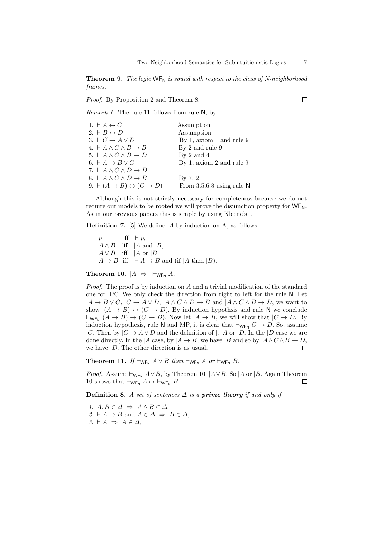**Theorem 9.** *The logic*  $WF_N$  *is sound with respect to the class of N-neighborhood frames.*

*Proof.* By Proposition 2 and Theorem 8.

*Remark 1.* The rule 11 follows from rule N, by:

| 1. $\vdash A \leftrightarrow C$                                 | Assumption                  |
|-----------------------------------------------------------------|-----------------------------|
| 2. $\vdash B \leftrightarrow D$                                 | Assumption                  |
| $3. \vdash C \rightarrow A \vee D$                              | By 1, axiom 1 and rule 9    |
| $4. \vdash A \wedge C \wedge B \rightarrow B$                   | By 2 and rule 9             |
| 5. $\vdash A \land C \land B \to D$                             | By $2$ and $4$              |
| 6. $\vdash A \rightarrow B \vee C$                              | By 1, axiom 2 and rule $9$  |
| 7. $\vdash A \land C \land D \to D$                             |                             |
| 8. $\vdash A \land C \land D \to B$                             | By $7, 2$                   |
| $9. \vdash (A \rightarrow B) \leftrightarrow (C \rightarrow D)$ | From $3,5,6,8$ using rule N |

Although this is not strictly necessary for completeness because we do not require our models to be rooted we will prove the disjunction property for  $WF_N$ . As in our previous papers this is simple by using Kleene's *|*.

**Definition 7.** [5] We define *|A* by induction on A, as follows

|*p* iff  $\vdash p$ , *|A ∧ B* iff *|A* and *|B*, *|A ∨ B* iff *|A* or *|B*,  $|A \rightarrow B$  iff  $\vdash A \rightarrow B$  and (if  $|A \text{ then } |B|$ ).

**Theorem 10.**  $|A \Leftrightarrow \vdash_{\mathsf{WF}_{\mathsf{N}}} A$ *.* 

*Proof.* The proof is by induction on *A* and a trivial modification of the standard one for IPC. We only check the direction from right to left for the rule N. Let  $|A \rightarrow B \vee C, |C \rightarrow A \vee D, |A \wedge C \wedge D \rightarrow B$  and  $|A \wedge C \wedge B \rightarrow D$ , we want to show  $|(A \rightarrow B) \leftrightarrow (C \rightarrow D)$ . By induction hypothsis and rule N we conclude  $\vdash_{\mathsf{WF}_{\mathsf{N}}}(A \to B) \leftrightarrow (C \to D)$ . Now let  $|A \to B$ , we will show that  $|C \to D$ . By induction hypothesis, rule N and MP, it is clear that  $\vdash_{\mathsf{WF}_{\mathsf{N}}} C \to D$ . So, assume *|C*. Then by  $|C \to A \lor D$  and the definition of *|*,  $|A \text{ or } |D$ . In the  $|D \text{ case we are}$ done directly. In the  $|A \cose$ , by  $|A \rightarrow B$ , we have  $|B \text{ and so by } |A \wedge C \wedge B \rightarrow D$ ,  $\Box$ we have *|D*. The other direction is as usual.

**Theorem 11.** *If*  $\vdash_{\mathsf{WF}_{\mathsf{N}}} A \lor B$  *then*  $\vdash_{\mathsf{WF}_{\mathsf{N}}} A$  *or*  $\vdash_{\mathsf{WF}_{\mathsf{N}}} B$ *.* 

*Proof.* Assume  $\vdash_{\mathsf{WF}_{\mathsf{N}}}\mathit{A}\lor\mathit{B}$ , by Theorem 10,  $\mathit{A}\lor\mathit{B}$ . So  $\mathit{A}$  or  $\mathit{B}$ . Again Theorem 10 shows that  $\vdash_{\mathsf{WF}_{\mathsf{N}}} A$  or  $\vdash_{\mathsf{WF}_{\mathsf{N}}} B$ .  $\Box$ 

**Definition 8.** *A set of sentences*  $\Delta$  *is a prime theory if and only if* 

*1.*  $A, B \in \Delta \Rightarrow A \wedge B \in \Delta$ ,  $2. \vdash A \rightarrow B$  and  $A \in \Delta \Rightarrow B \in \Delta$ ,  $3. \vdash A \Rightarrow A \in \Delta$ ,

 $\Box$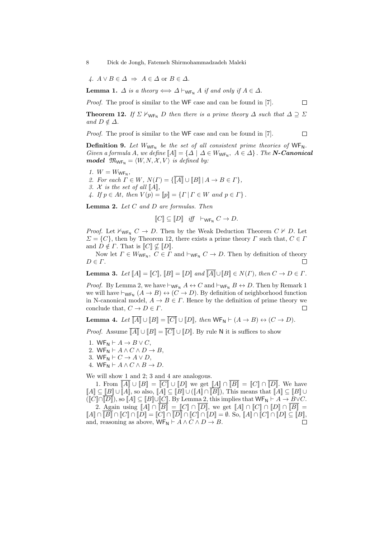$A \cup B \in \Delta \Rightarrow A \in \Delta$  or  $B \in \Delta$ .

**Lemma 1.**  $\Delta$  *is a theory*  $\Longleftrightarrow \Delta \vdash_{\mathsf{WF}_{\mathsf{N}}} A$  *if and only if*  $A \in \Delta$ *.* 

*Proof.* The proof is similar to the WF case and can be found in [7].

**Theorem 12.** *If*  $\Sigma \nvDash_{\mathsf{WF}_{\mathsf{N}}} D$  *then there is a prime theory*  $\Delta$  *such that*  $\Delta \supseteq \Sigma$ *and*  $D \notin \Delta$ *.* 

 $\Box$ 

 $\Box$ 

*Proof.* The proof is similar to the WF case and can be found in [7].

**Definition 9.** Let  $W_{WF_N}$  be the set of all consistent prime theories of  $WF_N$ . *Given a formula A, we define*  $[A] = \{ \Delta \mid \Delta \in W_{WF_N}, \ A \in \Delta \}$ . *The N-Canonical model*  $\mathfrak{M}_{\mathsf{WF}_{\mathsf{N}}} = \langle W, N, \mathcal{X}, V \rangle$  *is defined by:* 

*1.*  $W = W_{\text{WF}_N}$ ,

*2. For each*  $\overline{\Gamma} \in W$ *,*  $N(\Gamma) = {\{\overline{\Vert A \Vert} \cup \overline{\Vert B \Vert \vert} A \to B \in \Gamma \}}$ ,

*3.*  $X$  *is the set of all*  $\llbracket A \rrbracket$ *,* 

*4. If*  $p \in At$ *, then*  $V(p) = ||p|| = {T | T \in W \text{ and } p \in T}$ .

**Lemma 2.** *Let C and D are formulas. Then*

$$
\llbracket C \rrbracket \subseteq \llbracket D \rrbracket \quad \text{iff} \quad \vdash_{\mathsf{WF}_{\mathsf{N}}} C \to D.
$$

*Proof.* Let  $\forall_{\mathbf{W_{F}} N} C \rightarrow D$ . Then by the Weak Deduction Theorem  $C \not\vdash D$ . Let  $\Sigma = \{C\}$ , then by Theorem 12, there exists a prime theory *Γ* such that,  $C \in \Gamma$ and  $D \notin \Gamma$ . That is  $\llbracket C \rrbracket \nsubseteq \llbracket D \rrbracket$ .

Now let  $\Gamma \in W_{\mathsf{WF}_{\mathsf{N}}}, C \in \Gamma$  and  $\vdash_{\mathsf{WF}_{\mathsf{N}}} C \to D$ . Then by definition of theory *D ∈ Γ*.  $\Box$ 

**Lemma 3.** Let  $\llbracket A \rrbracket = \llbracket C \rrbracket$ ,  $\llbracket B \rrbracket = \llbracket D \rrbracket$  and  $\llbracket A \rrbracket \cup \llbracket B \rrbracket \in N(\Gamma)$ , then  $C \to D \in \Gamma$ .

*Proof.* By Lemma 2, we have  $\vdash_{\mathsf{WF}_{\mathsf{N}}} A \leftrightarrow C$  and  $\vdash_{\mathsf{WF}_{\mathsf{N}}} B \leftrightarrow D$ . Then by Remark 1 we will have  $\vdash_{\mathsf{WF}_{\mathsf{N}}}(A \to B) \leftrightarrow (C \to D)$ . By definition of neighborhood function in N-canonical model,  $A \to B \in \Gamma$ . Hence by the definition of prime theory we conclude that,  $C \to D \in \Gamma$ . П

**Lemma 4.** *Let*  $\overline{[A]} \cup [B] = \overline{[C]} \cup [D]$ , *then*  $WF_N \vdash (A \rightarrow B) \leftrightarrow (C \rightarrow D)$ *.* 

*Proof.* Assume  $\overline{[A]} \cup [B] = \overline{[C]} \cup [D]$ . By rule N it is suffices to show

- 1. WF<sub>N</sub>  $\vdash A \rightarrow B \lor C$ ,
- 2. WF<sub>N</sub>  $\vdash A \land C \land D \to B$ ,
- 3. WF<sub>N</sub>  $\vdash$  *C*  $\rightarrow$  *A*  $\lor$  *D*,
- 4. WF<sub>N</sub>  $\vdash A \land C \land B \to D$ .

We will show 1 and 2; 3 and 4 are analogous.

1. From  $\overline{[A]} \cup [B] = \overline{[C]} \cup [D]$  we get  $\overline{[A]} \cap \overline{[B]} = [C] \cap \overline{[D]}$ . We have  $[[A] \subseteq [B] \cup [[A], \text{ so also, } [A] \subseteq [B] \cup ([A] \cap [B]),$  This means that  $[[A] \subseteq [B] \cup$  $([C] \cap [D])$ , so  $[A] \subseteq [B] \cup [C]$ . By Lemma 2, this implies that  $\mathsf{WF}_{\mathsf{N}} \vdash A \to B \lor C$ . 2. Again using  $\llbracket A \rrbracket \cap \llbracket B \rrbracket = \llbracket C \rrbracket \cap \llbracket \overline{D} \rrbracket$ , we get  $\llbracket A \rrbracket \cap \llbracket C \rrbracket \cap \llbracket D \rrbracket \cap \llbracket \overline{B} \rrbracket =$  $\llbracket A \rrbracket \cap \llbracket D \rrbracket \cap \llbracket C \rrbracket \cap \llbracket D \rrbracket = \llbracket C \rrbracket \cap \llbracket D \rrbracket \cap \llbracket C \rrbracket \cap \llbracket D \rrbracket = \emptyset.$  So,  $\llbracket A \rrbracket \cap \llbracket C \rrbracket \cap \llbracket D \rrbracket \subseteq \llbracket B \rrbracket,$ and, reasoning as above,  $\overline{WF_N \vdash A \land C \land D \rightarrow B}$ .  $\Box$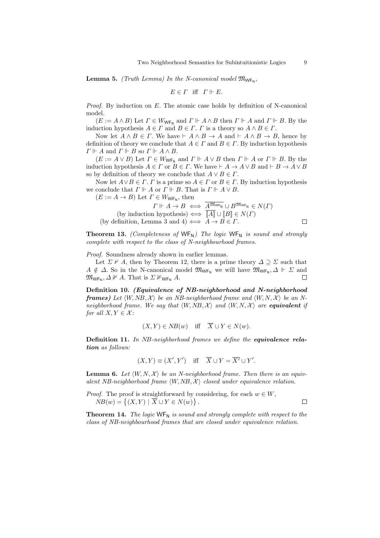**Lemma 5.** *(Truth Lemma)* In the N-canonical model  $\mathfrak{M}_{\mathsf{WF}_N}$ ,

$$
E\in\varGamma\ \ \text{iff}\ \ \varGamma\Vdash E.
$$

*Proof.* By induction on *E*. The atomic case holds by definition of N-canonical model.

 $(E := A \land B)$  Let  $\Gamma \in W_{\mathsf{WF}_{\mathsf{N}}}$  and  $\Gamma \Vdash A \land B$  then  $\Gamma \Vdash A$  and  $\Gamma \Vdash B$ . By the induction hypothesis  $A \in \Gamma$  and  $B \in \Gamma$ .  $\Gamma$  is a theory so  $A \wedge B \in \Gamma$ .

Now let  $A \land B \in \Gamma$ . We have  $\vdash A \land B \to A$  and  $\vdash A \land B \to B$ , hence by definition of theory we conclude that  $A \in \Gamma$  and  $B \in \Gamma$ . By induction hypothesis  $\Gamma \Vdash A$  and  $\Gamma \Vdash B$  so  $\Gamma \Vdash A \wedge B$ .

 $(E := A \vee B)$  Let  $\Gamma \in W_{\mathsf{WF}_N}$  and  $\Gamma \Vdash A \vee B$  then  $\Gamma \Vdash A$  or  $\Gamma \Vdash B$ . By the induction hypothesis  $A \in \Gamma$  or  $B \in \Gamma$ . We have  $\vdash A \to A \lor B$  and  $\vdash B \to A \lor B$ so by definition of theory we conclude that  $A \lor B \in \Gamma$ .

Now let  $A \lor B \in \Gamma$ . *Γ* is a prime so  $A \in \Gamma$  or  $B \in \Gamma$ . By induction hypothesis we conclude that  $\Gamma \Vdash A$  or  $\Gamma \Vdash B$ . That is  $\Gamma \Vdash A \vee B$ .

 $(E := A \rightarrow B)$  Let  $\Gamma \in W_{\mathsf{WF}_{\mathsf{N}}}$ , then

$$
\Gamma \Vdash A \to B \iff \overline{A^{\mathfrak{M}_{\mathsf{WF}_{\mathsf{N}}}} \cup B^{\mathfrak{M}_{\mathsf{WF}_{\mathsf{N}}}} \in N(\Gamma)}
$$
\n(by induction hypothesis)  $\iff \overline{[A]} \cup [B] \in N(\Gamma)$ 

\n(by definition, Lemma 3 and 4)  $\iff A \to B \in \Gamma$ .

**Theorem 13.** *(Completeness of* WF<sub>N</sub>) The logic WF<sub>N</sub> is sound and strongly *complete with respect to the class of N-neighbourhood frames.*

*Proof.* Soundness already shown in earlier lemmas.

Let  $\Sigma \nvdash A$ , then by Theorem 12, there is a prime theory  $\Delta \supseteq \Sigma$  such that *A*  $\notin \Delta$ . So in the N-canonical model  $\mathfrak{M}_{\mathsf{WF}_{\mathsf{N}}}$  we will have  $\mathfrak{M}_{\mathsf{WF}_{\mathsf{N}}},\Delta \Vdash \Sigma$  and  $\mathfrak{M}_{\mathsf{WF}_{\mathsf{N}}}, \Delta \nVdash A$ . That is  $\Sigma \nVdash_{\mathsf{WF}_{\mathsf{N}}} A$ .  $\Box$ 

**Definition 10.** *(Equivalence of NB-neighborhood and N-neighborhood frames*) Let  $\langle W, NB, \mathcal{X} \rangle$  be an NB-neighborhood frame and  $\langle W, N, \mathcal{X} \rangle$  be an N*neighborhood frame. We say that*  $\langle W, NB, \mathcal{X} \rangle$  *and*  $\langle W, N, \mathcal{X} \rangle$  *are equivalent if for all*  $X, Y \in \mathcal{X}$ *:* 

$$
(X, Y) \in NB(w)
$$
 iff  $\overline{X} \cup Y \in N(w)$ .

**Definition 11.** *In NB-neighborhood frames we define the equivalence relation as follows:*

$$
(X,Y) \equiv (X',Y')
$$
 iff  $\overline{X} \cup Y = \overline{X'} \cup Y'.$ 

**Lemma 6.** Let  $\langle W, N, \mathcal{X} \rangle$  be an N-neighborhood frame. Then there is an equiv*alent NB-neighborhood frame*  $\langle W, NB, \mathcal{X} \rangle$  closed under equivalence relation.

*Proof.* The proof is straightforward by considering, for each  $w \in W$ ,  $NB(w) = \{(X, Y) | \overline{X} \cup Y \in N(w)\}.$ 

**Theorem 14.** *The logic* WF<sub>N</sub> *is sound and strongly complete with respect to the class of NB-neighbourhood frames that are closed under equivalence relation.*

 $\Box$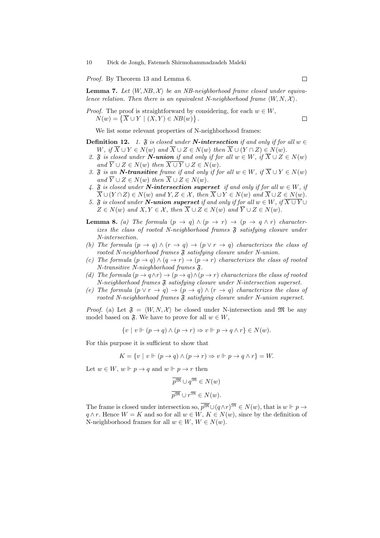*Proof.* By Theorem 13 and Lemma 6.

**Lemma 7.** Let  $\langle W, NB, \mathcal{X} \rangle$  be an NB-neighborhood frame closed under equiva*lence relation. Then there is an equivalent N-neighborhood frame*  $\langle W, N, \mathcal{X} \rangle$ *.* 

*Proof.* The proof is straightforward by considering, for each 
$$
w \in W
$$
,  $N(w) = \{ \overline{X} \cup Y \mid (X, Y) \in NB(w) \}$ .

We list some relevant properties of N-neighborhood frames:

- **Definition 12.** *1.*  $\mathfrak{F}$  *is closed under N*-intersection *if and only if for all*  $w \in \mathfrak{F}$ W, if  $\overline{X} \cup Y \in N(w)$  and  $\overline{X} \cup Z \in N(w)$  then  $\overline{X} \cup (Y \cap Z) \in N(w)$ .
- 2.  $\mathfrak{F}$  *is closed under*  $\mathbf{N}\text{-}$ *union if and only if for all*  $w \in W$ *, if*  $\overline{X} \cup Z \in N(w)$  $and \ \overline{Y} \cup Z \in N(w) \ then \ \overline{X \cup Y} \cup Z \in N(w).$
- *3.*  $\mathfrak{F}$  *is an N*-transitive frame if and only if for all  $w \in W$ , if  $\overline{X} \cup Y \in N(w)$  $and \ \overline{Y} \cup Z \in N(w) \ then \ \overline{X} \cup Z \in N(w).$
- 4.  $\mathfrak{F}$  *is closed under*  $N\text{-}intersection$  *superset if and only if for all*  $w \in W$ *, if*  $\overline{X} \cup (Y \cap Z) \in N(w)$  and  $Y, Z \in \mathcal{X}$ , then  $\overline{X} \cup Y \in N(w)$  and  $\overline{X} \cup Z \in N(w)$ .
- *5.*  $\mathfrak{F}$  *is closed under N-union superset if and only if for all*  $w \in W$ , if  $\overline{X \cup Y} \cup Y$  $Z \in N(w)$  *and*  $X, Y \in \mathcal{X}$ , *then*  $\overline{X} \cup Z \in N(w)$  *and*  $\overline{Y} \cup Z \in N(w)$ .
- **Lemma 8.** *(a) The formula*  $(p \rightarrow q) \land (p \rightarrow r) \rightarrow (p \rightarrow q \land r)$  *characterizes the class of rooted N-neighborhood frames*  $\tilde{s}$  *satisfying closure under N-intersection.*
- *(b) The formula*  $(p \to q) \land (r \to q) \to (p \lor r \to q)$  *characterizes the class of rooted N-neighborhood frames*  $\mathfrak{F}$  *satisfying closure under N-union.*
- *(c) The formula*  $(p \to q) \land (q \to r) \to (p \to r)$  *characterizes the class of rooted N-transitive N-nieghborhood frames* F*.*
- *(d) The formula*  $(p \to q \land r) \to (p \to q) \land (p \to r)$  *characterizes the class of rooted N-neighborhood frames* F *satisfying closure under N-intersection superset.*
- *(e) The formula*  $(p \lor r \rightarrow q) \rightarrow (p \rightarrow q) \land (r \rightarrow q)$  *characterizes the class of rooted N-neighborhood frames* F *satisfying closure under N-union superset.*

*Proof.* (a) Let  $\mathfrak{F} = \langle W, N, \mathcal{X} \rangle$  be closed under N-intersection and M be any model based on  $\mathfrak{F}$ . We have to prove for all  $w \in W$ ,

 $\{v \mid v \Vdash (p \rightarrow q) \land (p \rightarrow r) \Rightarrow v \Vdash p \rightarrow q \land r\} \in N(w)$ .

For this purpose it is sufficient to show that

$$
K = \{ v \mid v \Vdash (p \to q) \land (p \to r) \Rightarrow v \Vdash p \to q \land r \} = W.
$$

Let  $w \in W$ ,  $w \Vdash p \rightarrow q$  and  $w \Vdash p \rightarrow r$  then

$$
\overline{p^{\mathfrak{M}}} \cup q^{\mathfrak{M}} \in N(w)
$$

$$
\overline{p^{\mathfrak{M}}} \cup r^{\mathfrak{M}} \in N(w).
$$

The frame is closed under intersection so,  $\overline{p^{\mathfrak{M}}} \cup (q \wedge r)^{\mathfrak{M}} \in N(w)$ , that is  $w \Vdash p \rightarrow$ *q*  $\land$  *r*. Hence *W* = *K* and so for all *w* ∈ *W*, *K* ∈ *N*(*w*), since by the definition of N-neighborhood frames for all  $w \in W$ ,  $W \in N(w)$ .

 $\Box$ 

 $\Box$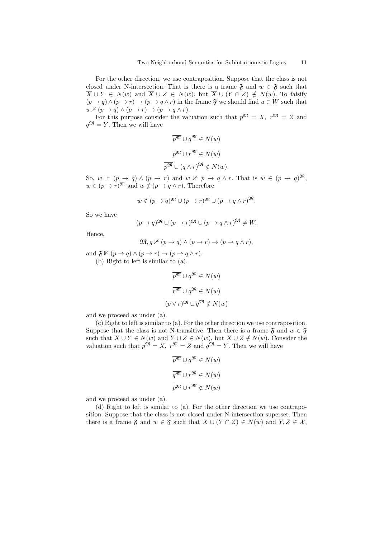For the other direction, we use contraposition. Suppose that the class is not closed under N-intersection. That is there is a frame  $\mathfrak{F}$  and  $w \in \mathfrak{F}$  such that  $\overline{X}$  *∪ Y*  $\in$  *N*(*w*) and  $\overline{X}$  *∪ Z*  $\in$  *N*(*w*), but  $\overline{X}$  *∪* (*Y*  $\cap$  *Z*)  $\notin$  *N*(*w*). To falsify  $(p \rightarrow q) \land (p \rightarrow r) \rightarrow (p \rightarrow q \land r)$  in the frame  $\mathfrak{F}$  we should find  $u \in W$  such that  $u \nvDash (p \rightarrow q) \land (p \rightarrow r) \rightarrow (p \rightarrow q \land r).$ 

For this purpose consider the valuation such that  $p^{\mathfrak{M}} = X$ ,  $r^{\mathfrak{M}} = Z$  and  $q^{\mathfrak{M}} = Y$ . Then we will have

$$
\overline{p^{\mathfrak{M}}} \cup q^{\mathfrak{M}} \in N(w)
$$

$$
\overline{p^{\mathfrak{M}}} \cup r^{\mathfrak{M}} \in N(w)
$$

$$
\overline{p^{\mathfrak{M}}} \cup (q \wedge r)^{\mathfrak{M}} \notin N(w).
$$

So,  $w \Vdash (p \rightarrow q) \land (p \rightarrow r)$  and  $w \nvDash p \rightarrow q \land r$ . That is  $w \in (p \rightarrow q)$ <sup>M</sup>,  $w \in (p \to r)$ <sup>M</sup> and  $w \notin (p \to q \land r)$ . Therefore

$$
w \notin \overline{(p \to q)^{\mathfrak{M}}} \cup \overline{(p \to r)^{\mathfrak{M}}} \cup (p \to q \land r)^{\mathfrak{M}}.
$$

So we have

$$
\overline{(p \to q)^{\mathfrak{M}}} \cup \overline{(p \to r)^{\mathfrak{M}}} \cup (p \to q \land r)^{\mathfrak{M}} \neq W.
$$

Hence,

$$
\mathfrak{M}, g \nVdash (p \to q) \land (p \to r) \to (p \to q \land r),
$$

and  $\mathfrak{F} \nVdash (p \to q) \wedge (p \to r) \to (p \to q \wedge r)$ . (b) Right to left is similar to (a).

$$
\overline{p}^{\overline{\mathfrak{M}}} \cup q^{\overline{\mathfrak{M}}} \in N(w)
$$

$$
\overline{r^{\overline{\mathfrak{M}}} \cup q^{\overline{\mathfrak{M}}} \in N(w)}
$$

$$
\overline{(p \vee r)^{\overline{\mathfrak{M}}} \cup q^{\overline{\mathfrak{M}}} \notin N(w)}
$$

and we proceed as under (a).

(c) Right to left is similar to (a). For the other direction we use contraposition. Suppose that the class is not N-transitive. Then there is a frame  $\mathfrak{F}$  and  $w \in \mathfrak{F}$ such that  $\overline{X} \cup Y \in N(w)$  and  $\overline{Y} \cup Z \in N(w)$ , but  $\overline{X} \cup Z \notin N(w)$ . Consider the valuation such that  $p^{\mathfrak{M}} = X$ ,  $r^{\mathfrak{M}} = Z$  and  $q^{\mathfrak{M}} = Y$ . Then we will have

$$
\overline{p^{\mathfrak{M}}} \cup q^{\mathfrak{M}} \in N(w)
$$

$$
\overline{q^{\mathfrak{M}}} \cup r^{\mathfrak{M}} \in N(w)
$$

$$
\overline{p^{\mathfrak{M}}} \cup r^{\mathfrak{M}} \notin N(w)
$$

and we proceed as under (a).

(d) Right to left is similar to (a). For the other direction we use contraposition. Suppose that the class is not closed under N-intersection superset. Then there is a frame  $\mathfrak{F}$  and  $w \in \mathfrak{F}$  such that  $\overline{X} \cup (Y \cap Z) \in N(w)$  and  $Y, Z \in \mathcal{X}$ ,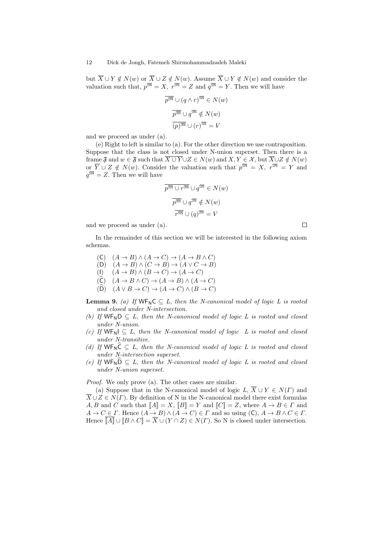but  $\overline{X}$  *∪ Y*  $\notin$  *N*(*w*) or  $\overline{X}$  *∪ Z*  $\notin$  *N*(*w*). Assume  $\overline{X}$  *∪ Y*  $\notin$  *N*(*w*) and consider the valuation such that,  $p^{\mathfrak{M}} = X$ ,  $r^{\mathfrak{M}} = Z$  and  $q^{\mathfrak{M}} = Y$ . Then we will have

$$
\overline{p^{\mathfrak{M}}} \cup (q \wedge r)^{\mathfrak{M}} \in N(w)
$$

$$
\overline{p^{\mathfrak{M}}} \cup q^{\mathfrak{M}} \notin N(w)
$$

$$
\overline{(p)^{\mathfrak{M}}} \cup (r)^{\mathfrak{M}} = V
$$

and we proceed as under (a).

(e) Right to left is similar to (a). For the other direction we use contraposition. Suppose that the class is not closed under N-union superset. Then there is a frame  $\mathfrak{F}$  and  $w \in \mathfrak{F}$  such that  $\overline{X \cup Y} \cup Z \in N(w)$  and  $X, Y \in \mathcal{X}$ , but  $\overline{X} \cup Z \notin N(w)$ or  $\overline{Y} \cup Z \notin N(w)$ . Consider the valuation such that  $p^{\mathfrak{M}} = X$ ,  $r^{\mathfrak{M}} = Y$  and  $q^{\mathfrak{M}} = Z$ . Then we will have

$$
\overline{p^{\mathfrak{M}} \cup r^{\mathfrak{M}}} \cup q^{\mathfrak{M}} \in N(w)
$$

$$
\overline{p^{\mathfrak{M}} \cup q^{\mathfrak{M}}} \notin N(w)
$$

$$
\overline{r^{\mathfrak{M}} \cup (q)^{\mathfrak{M}}} = V
$$

and we proceed as under (a).

In the remainder of this section we will be interested in the following axiom schemas.

 $\Box$ 

- $(A \rightarrow B) \land (A \rightarrow C) \rightarrow (A \rightarrow B \land C)$  $(D)$   $(A \rightarrow B) \land (C \rightarrow B) \rightarrow (A \lor C \rightarrow B)$ (I)  $(A \rightarrow B) \land (B \rightarrow C) \rightarrow (A \rightarrow C)$  $(\widehat{C})$   $(A \rightarrow B \land C) \rightarrow (A \rightarrow B) \land (A \rightarrow C)$
- $(\widehat{D})$   $(A \vee B \rightarrow C) \rightarrow (A \rightarrow C) \wedge (B \rightarrow C)$

**Lemma 9.** *(a)* If  $WF_NC \subseteq L$ , then the N-canonical model of logic L is rooted *and closed under N-intersection.*

- *(b)* If  $WF_ND \subseteq L$ , then the N-canonical model of logic L is rooted and closed *under N-union.*
- *(c)* If  $WF_NI ⊆ L$ , then the N-canonical model of logic L is rooted and closed *under N-transitive.*
- *(d)* If  $WF_N\hat{C} \subseteq L$ , then the N-canonical model of logic L is rooted and closed *under N-intersection superset.*
- *(e)* If  $WF_N\overline{D} \subseteq L$ , then the N-canonical model of logic L is rooted and closed *under N-union superset.*

*Proof.* We only prove (a). The other cases are similar.

(a) Suppose that in the N-canonical model of logic  $L, \overline{X} \cup Y \in N(\Gamma)$  and  $\overline{X} \cup Z \in N(\Gamma)$ . By definition of N in the N-canonical model there exist formulas *A, B* and *C* such that  $\llbracket A \rrbracket = X$ ,  $\llbracket B \rrbracket = Y$  and  $\llbracket C \rrbracket = Z$ , where  $A \to B \in \Gamma$  and  $A \to C \in \Gamma$ . Hence  $(A \to B) \land (\overline{A} \to \overline{C}) \in \Gamma$  and so using  $(C), A \to B \land C \in \Gamma$ . Hence  $\overline{[A]} \cup [B \wedge C] = \overline{X} \cup (Y \cap Z) \in N(\Gamma)$ . So N is closed under intersection.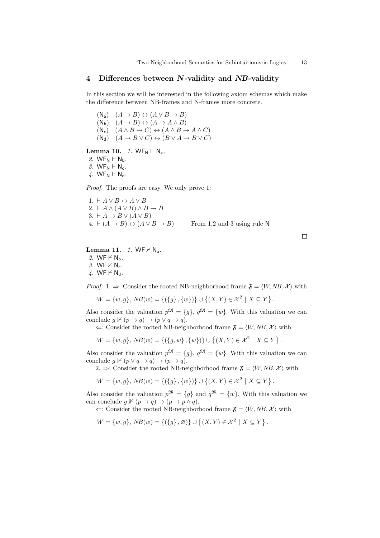### **4 Differences between** *N***-validity and** *NB***-validity**

In this section we will be interested in the following axiom schemas which make the difference between NB-frames and N-frames more concrete.

 $(A \rightarrow B) \leftrightarrow (A \lor B \rightarrow B)$  $(A \rightarrow B) \leftrightarrow (A \rightarrow A \wedge B)$  $(A \wedge B \rightarrow C) \leftrightarrow (A \wedge B \rightarrow A \wedge C)$  $(M_d)$   $(A \rightarrow B \vee C) \leftrightarrow (B \vee A \rightarrow B \vee C)$ 

## **Lemma 10.** *1.*  $WF_N \vdash N_a$ .

2.  $WF_N \vdash N_b$ .  $3.$  WF<sub>N</sub>  $\vdash$  N<sub>c</sub>.

*4.* WF<sub>N</sub>  $\vdash$  N<sub>d</sub>.

*Proof.* The proofs are easy. We only prove 1:

1. *` A ∨ B ↔ A ∨ B*  $2. \, \vdash A \land (A \lor B) \land B \rightarrow B$  $3. \vdash A \rightarrow B \lor (A \lor B)$ 4.  $\vdash (A \rightarrow B) \leftrightarrow (A \lor B \rightarrow B)$  From 1,2 and 3 using rule N

 $\Box$ 

**Lemma 11.** *1.* WF $\nvdash N_a$ . 2. WF  $\nvdash N_b$ .  $3.$  WF  $\nvdash N_c$ .  $4.$  WF  $\nvdash N_d$ .

*Proof.* 1.  $\Rightarrow$ : Consider the rooted NB-neighborhood frame  $\mathfrak{F} = \langle W, NB, \mathcal{X} \rangle$  with

$$
W = \{w, g\}, NB(w) = \{(\{g\}, \{w\})\} \cup \{(X, Y) \in \mathcal{X}^2 \mid X \subseteq Y\}.
$$

Also consider the valuation  $p^{\mathfrak{M}} = \{g\}, q^{\mathfrak{M}} = \{w\}.$  With this valuation we can conclude  $g \nvDash (p \rightarrow q) \rightarrow (p \lor q \rightarrow q)$ .

 $\Leftarrow$ : Consider the rooted NB-neighborhood frame  $\mathfrak{F} = \langle W, NB, \mathcal{X} \rangle$  with

$$
W = \{w, g\}, NB(w) = \{ (\{g, w\}, \{w\}) \} \cup \left\{ (X, Y) \in \mathcal{X}^2 \mid X \subseteq Y \right\}.
$$

Also consider the valuation  $p^{\mathfrak{M}} = \{q\}, q^{\mathfrak{M}} = \{w\}$ . With this valuation we can conclude  $g \nvDash (p \lor q \rightarrow q) \rightarrow (p \rightarrow q)$ .

2.  $\Rightarrow$ : Consider the rooted NB-neighborhood frame  $\mathfrak{F} = \langle W, NB, \mathcal{X} \rangle$  with

$$
W = \{w, g\}, \, NB(w) = \{ (\{g\}, \{w\}) \} \cup \left\{ (X, Y) \in \mathcal{X}^2 \mid X \subseteq Y \right\}.
$$

Also consider the valuation  $p^{\mathfrak{M}} = \{g\}$  and  $q^{\mathfrak{M}} = \{w\}$ . With this valuation we can conclude  $g \nvDash (p \rightarrow q) \rightarrow (p \rightarrow p \land q)$ .

 $\Leftarrow$ : Consider the rooted NB-neighborhood frame  $\mathfrak{F} = \langle W, NB, \mathcal{X} \rangle$  with

 $W = \{w, g\}$ ,  $NB(w) = \{(\{g\}, \emptyset)\}$   $\cup \{(X, Y) \in \mathcal{X}^2 \mid X \subseteq Y\}$ .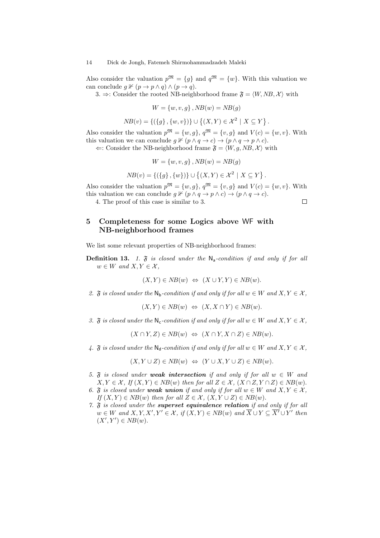Also consider the valuation  $p^{\mathfrak{M}} = \{g\}$  and  $q^{\mathfrak{M}} = \{w\}$ . With this valuation we can conclude  $g \nvDash (p \rightarrow p \land q) \land (p \rightarrow q)$ .

3.  $\Rightarrow$ : Consider the rooted NB-neighborhood frame  $\mathfrak{F} = \langle W, NB, \mathcal{X} \rangle$  with

$$
W = \{w, v, g\}, NB(w) = NB(g)
$$

$$
NB(v) = \{ (\{g\}, \{w, v\}) \} \cup \{ (X, Y) \in \mathcal{X}^2 \mid X \subseteq Y \}
$$

*.*

Also consider the valuation  $p^{\mathfrak{M}} = \{w, g\}$ ,  $q^{\mathfrak{M}} = \{v, g\}$  and  $V(c) = \{w, v\}$ . With this valuation we can conclude  $g \nvDash (p \land q \rightarrow c) \rightarrow (p \land q \rightarrow p \land c)$ .

 $\Leftarrow$ : Consider the NB-neighborhood frame  $\mathfrak{F} = \langle W, g, NB, \mathcal{X} \rangle$  with

$$
W = \{w, v, g\}, NB(w) = NB(g)
$$

$$
NB(v) = \{ (\{g\}, \{w\}) \} \cup \left\{ (X, Y) \in \mathcal{X}^2 \mid X \subseteq Y \right\}.
$$

Also consider the valuation  $p^{\mathfrak{M}} = \{w, g\}$ ,  $q^{\mathfrak{M}} = \{v, g\}$  and  $V(c) = \{w, v\}$ . With this valuation we can conclude  $g \nvDash (p \land q \rightarrow p \land c) \rightarrow (p \land q \rightarrow c)$ .  $\Box$ 

4. The proof of this case is similar to 3.

## **5 Completeness for some Logics above** WF **with NB-neighborhood frames**

We list some relevant properties of NB-neighborhood frames:

**Definition 13.** *1.*  $\tilde{f}$  *is closed under the*  $N_a$ -*condition if and only if for all*  $w \in W$  *and*  $X, Y \in \mathcal{X}$ ,

$$
(X,Y) \in NB(w) \Leftrightarrow (X \cup Y, Y) \in NB(w).
$$

2.  $\mathfrak{F}$  *is closed under the*  $\mathsf{N}_{\mathsf{b}}$ -condition if and only if for all  $w \in W$  and  $X, Y \in \mathcal{X}$ ,

$$
(X, Y) \in NB(w) \Leftrightarrow (X, X \cap Y) \in NB(w).
$$

*3.*  $\mathfrak{F}$  *is closed under the*  $\mathsf{N}_c$ -condition if and only if for all  $w \in W$  and  $X, Y \in \mathcal{X}$ ,

$$
(X \cap Y, Z) \in NB(w) \Leftrightarrow (X \cap Y, X \cap Z) \in NB(w).
$$

*4.*  $\mathfrak{F}$  *is closed under the*  $\mathbb{N}_d$ -condition if and only if for all  $w \in W$  and  $X, Y \in \mathcal{X}$ .

$$
(X, Y \cup Z) \in NB(w) \Leftrightarrow (Y \cup X, Y \cup Z) \in NB(w).
$$

- 5.  $\mathfrak{F}$  *is closed under weak intersection if and only if for all*  $w \in W$  *and*  $X, Y \in \mathcal{X}, H(X, Y) \in NB(w)$  *then for all*  $Z \in \mathcal{X}, (X \cap Z, Y \cap Z) \in NB(w)$ .
- *6.*  $\mathfrak{F}$  *is closed under weak union* if and only if for all  $w \in W$  and  $X, Y \in \mathcal{X}$ ,  $If (X, Y) \in NB(w)$  *then for all*  $Z \in \mathcal{X}$ ,  $(X, Y \cup Z) \in NB(w)$ .
- *7.* F *is closed under the superset equivalence relation if and only if for all*  $w \in W$  and  $X, Y, X', Y' \in \mathcal{X}$ , if  $(X, Y) \in NB(w)$  and  $X \cup Y \subseteq X' \cup Y'$  then  $(X', Y') \in NB(w)$ .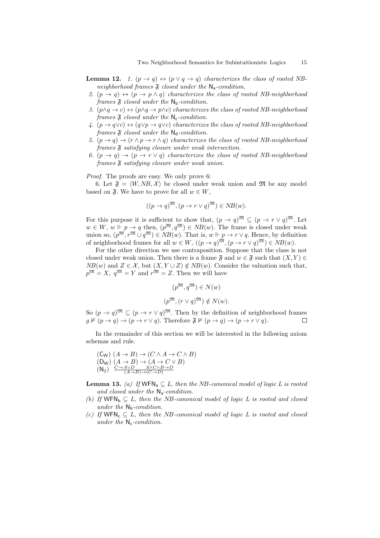- **Lemma 12.** *1.*  $(p \rightarrow q) \leftrightarrow (p \lor q \rightarrow q)$  *characterizes the class of rooted NBneighborhood frames*  $\mathfrak F$  *closed under the*  $\mathsf N_a$ -*condition.*
- 2.  $(p \rightarrow q) \leftrightarrow (p \rightarrow p \land q)$  *characterizes the class of rooted NB-neighborhood frames*  $\mathfrak{F}$  *closed under the* N<sub>b</sub>-condition.
- *3.*  $(p \land q → c) \leftrightarrow (p \land q → p \land c)$  *characterizes the class of rooted NB-neighborhood frames*  $\mathfrak{F}$  *closed under the* N<sub>c</sub>-condition.
- *4.* (*p → q∨c*) *↔* (*q∨p → q∨c*) *characterizes the class of rooted NB-neighborhood frames*  $\mathfrak{F}$  *closed under the*  $\mathsf{N}_d$ -condition.
- *5.*  $(p \rightarrow q) \rightarrow (r \land p \rightarrow r \land q)$  *characterizes the class of rooted NB-neighborhood frames* F *satisfying closure under weak intersection.*
- 6.  $(p \rightarrow q) \rightarrow (p \rightarrow r \vee q)$  *characterizes the class of rooted NB-neighborhood frames* F *satisfying closure under weak union.*

*Proof.* The proofs are easy. We only prove 6:

6. Let  $\mathfrak{F} = \langle W, NB, \mathcal{X} \rangle$  be closed under weak union and  $\mathfrak{M}$  be any model based on  $\mathfrak{F}$ . We have to prove for all  $w \in W$ ,

$$
((p \to q)^{\mathfrak{M}}, (p \to r \lor q)^{\mathfrak{M}}) \in NB(w).
$$

For this purpose it is sufficient to show that,  $(p \to q)^{\mathfrak{M}} \subseteq (p \to r \lor q)^{\mathfrak{M}}$ . Let  $w \in W$ ,  $w \Vdash p \to q$  then,  $(p^{\mathfrak{M}}, q^{\mathfrak{M}}) \in NB(w)$ . The frame is closed under weak union so,  $(p^{m}, r^{m} \cup q^{m}) \in NB(w)$ . That is,  $w \Vdash p \to r \lor q$ . Hence, by definition of neighborhood frames for all  $w \in W$ ,  $((p \to q)^{\mathfrak{M}}, (p \to r \lor q)^{\mathfrak{M}}) \in NB(w)$ .

For the other direction we use contraposition. Suppose that the class is not closed under weak union. Then there is a frame  $\mathfrak{F}$  and  $w \in \mathfrak{F}$  such that  $(X, Y) \in$ *NB*(*w*) and *Z* ∈ *X*, but  $(X, Y \cup Z) \notin NB(w)$ . Consider the valuation such that,  $p^{\mathfrak{M}} = X$ ,  $q^{\mathfrak{M}} = Y$  and  $r^{\mathfrak{M}} = Z$ . Then we will have

$$
(p^{\mathfrak{M}}, q^{\mathfrak{M}}) \in N(w)
$$
  

$$
(p^{\mathfrak{M}}, (r \vee q)^{\mathfrak{M}}) \notin N(w).
$$

So  $(p \to q)$ <sup>M</sup>  $\subseteq (p \to r \lor q)$ <sup>M</sup>. Then by the definition of neighborhood frames  $g \nvDash (p \rightarrow q) \rightarrow (p \rightarrow r \vee q)$ . Therefore  $\mathfrak{F} \nvDash (p \rightarrow q) \rightarrow (p \rightarrow r \vee q)$ . П

In the remainder of this section we will be interested in the following axiom schemas and rule.

(C<sub>W</sub>) 
$$
(A \rightarrow B) \rightarrow (C \land A \rightarrow C \land B)
$$
  
\n(D<sub>W</sub>)  $(A \rightarrow B) \rightarrow (A \rightarrow C \lor B)$   
\n(N<sub>2</sub>)  $\xrightarrow{C \rightarrow A \lor D} A \land C \land B \rightarrow D$   
\n(A<sub>3</sub>)  $\rightarrow (C \rightarrow D)$ 

**Lemma 13.** *(a) If*  $WFN_a \subseteq L$ *, then the NB-canonical model of logic L is rooted and closed under the* Na*-condition.*

- *(b)* If  $WFN_b \subseteq L$ , then the NB-canonical model of logic L is rooted and closed *under the*  $N_b$ -*condition.*
- *(c)* If  $WFN_c \subseteq L$ , then the NB-canonical model of logic L is rooted and closed *under the* N<sub>c</sub>-condition.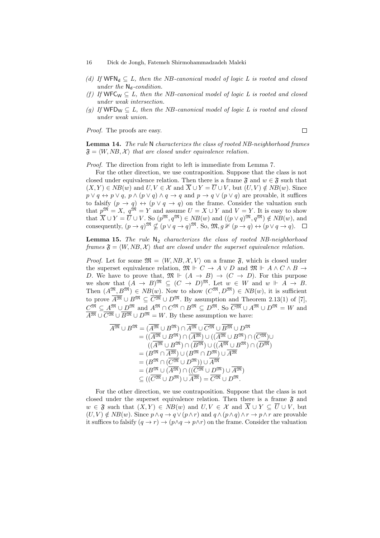- 16 Dick de Jongh, Fatemeh Shirmohammadzadeh Maleki
- *(d)* If  $WFN_d \subseteq L$ , then the NB-canonical model of logic L is rooted and closed  $under\ the\ \mathsf{N_d}\textrm{-}condition.$
- *(f)* If  $WFC_W \subseteq L$ , then the NB-canonical model of logic L is rooted and closed *under weak intersection.*
- *(g)* If  $WFD_W \subseteq L$ , then the NB-canonical model of logic L is rooted and closed *under weak union.*

*Proof.* The proofs are easy.

 $\Box$ 

**Lemma 14.** *The rule* N *characterizes the class of rooted NB-neighborhood frames*  $\mathfrak{F} = \langle W, NB, \mathcal{X} \rangle$  that are closed under equivalence relation.

*Proof.* The direction from right to left is immediate from Lemma 7.

For the other direction, we use contraposition. Suppose that the class is not closed under equivalence relation. Then there is a frame  $\mathfrak{F}$  and  $w \in \mathfrak{F}$  such that  $(X, Y) \in NB(w)$  and  $U, V \in \mathcal{X}$  and  $\overline{X} \cup Y = \overline{U} \cup V$ , but  $(U, V) \notin NB(w)$ . Since  $p \lor q \leftrightarrow p \lor q$ ,  $p \land (p \lor q) \land q \rightarrow q$  and  $p \rightarrow q \lor (p \lor q)$  are provable, it suffices to falsify  $(p \to q) \leftrightarrow (p \lor q \to q)$  on the frame. Consider the valuation such that  $p^{\mathfrak{M}} = X$ ,  $q^{\mathfrak{M}} = Y$  and assume  $U = X \cup Y$  and  $V = Y$ . It is easy to show that  $\overline{X} \cup Y = \overline{U} \cup V$ . So  $(p^{\mathfrak{M}}, q^{\mathfrak{M}}) \in NB(w)$  and  $((p \vee q)^{\mathfrak{M}}, q^{\mathfrak{M}}) \notin NB(w)$ , and consequently,  $(p \to q)$ <sup>m</sup>,  $\nsubseteq (p \lor q \to q)$ <sup>m</sup>. So,  $\mathfrak{M}, g \nvDash (p \to q) \leftrightarrow (p \lor q \to q)$ .

**Lemma 15.** *The rule*  $N_2$  *characterizes the class of rooted NB-neighborhood frames*  $\mathfrak{F} = \langle W, NB, \mathcal{X} \rangle$  *that are closed under the superset equivalence relation.* 

*Proof.* Let for some  $\mathfrak{M} = \langle W, NB, \mathcal{X}, V \rangle$  on a frame  $\mathfrak{F}$ , which is closed under the superset equivalence relation,  $\mathfrak{M} \Vdash C \to A \lor D$  and  $\mathfrak{M} \Vdash A \land C \land B \to$ *D*. We have to prove that,  $\mathfrak{M} \Vdash (A \rightarrow B) \rightarrow (C \rightarrow D)$ . For this purpose we show that  $(A \rightarrow B)$ <sup>M</sup>  $\subseteq (C \rightarrow D)$ <sup>M</sup>. Let  $w \in W$  and  $w \Vdash A \rightarrow B$ . Then  $(A^{\mathfrak{M}}, B^{\mathfrak{M}}) \in NB(w)$ . Now to show  $(C^{\mathfrak{M}}, D^{\mathfrak{M}}) \in NB(w)$ , it is sufficient to prove  $\overline{A^{\mathfrak{M}}} \cup \overline{B^{\mathfrak{M}}} \subseteq \overline{C^{\mathfrak{M}}} \cup D^{\mathfrak{M}}$ . By assumption and Theorem 2.13(1) of [7],  $C^{\mathfrak{M}} \subseteq A^{\mathfrak{M}} \cup D^{\mathfrak{M}}$  and  $A^{\mathfrak{M}} \cap C^{\mathfrak{M}} \cap B^{\mathfrak{M}} \subseteq D^{\mathfrak{M}}$ . So  $\overline{C^{\mathfrak{M}}} \cup A^{\mathfrak{M}} \cup D^{\mathfrak{M}} = W$  and  $\overline{A^{\mathfrak{M}}} \cup \overline{C^{\mathfrak{M}}} \cup \overline{B^{\mathfrak{M}}} \cup D^{\mathfrak{M}} = W$ . By these assumption we have:

$$
\overline{A^{\mathfrak{M}}} \cup B^{\mathfrak{M}} = (\overline{A^{\mathfrak{M}}} \cup B^{\mathfrak{M}}) \cap \overline{A^{\mathfrak{M}}} \cup \overline{C^{\mathfrak{M}}} \cup \overline{B^{\mathfrak{M}}} \cup D^{\mathfrak{M}}
$$
\n
$$
= ((\overline{A^{\mathfrak{M}}} \cup B^{\mathfrak{M}}) \cap (\overline{A^{\mathfrak{M}}}) \cup ((\overline{A^{\mathfrak{M}}} \cup B^{\mathfrak{M}}) \cap (\overline{C^{\mathfrak{M}}}) \cup (\overline{C^{\mathfrak{M}}}) \cup (\overline{C^{\mathfrak{M}}}) \cup (\overline{C^{\mathfrak{M}}}) \cup (\overline{C^{\mathfrak{M}}}) \cup (\overline{D^{\mathfrak{M}}}) \cup (\overline{D^{\mathfrak{M}}}) \cup (\overline{D^{\mathfrak{M}}}) \cup (\overline{D^{\mathfrak{M}}}) \cup (\overline{D^{\mathfrak{M}}}) \cup (\overline{D^{\mathfrak{M}}}) \cup (\overline{D^{\mathfrak{M}}}) \cup (\overline{D^{\mathfrak{M}}}) \cup (\overline{D^{\mathfrak{M}}}) \cup \overline{A^{\mathfrak{M}}}
$$
\n
$$
= (B^{\mathfrak{M}} \cap (\overline{C^{\mathfrak{M}}} \cup D^{\mathfrak{M}})) \cup \overline{A^{\mathfrak{M}}} \cup \overline{A^{\mathfrak{M}}} \cup (\overline{C^{\mathfrak{M}}} \cup D^{\mathfrak{M}}) \cup \overline{A^{\mathfrak{M}}})
$$
\n
$$
\subseteq ((\overline{C^{\mathfrak{M}}} \cup D^{\mathfrak{M}}) \cup \overline{A^{\mathfrak{M}}} \cup \overline{C^{\mathfrak{M}}} \cup D^{\mathfrak{M}}).
$$

For the other direction, we use contraposition. Suppose that the class is not closed under the superset equivalence relation. Then there is a frame  $\mathfrak{F}$  and *w* ∈  $\mathfrak{F}$  such that  $(X, Y) \in NB(w)$  and  $U, V \in \mathcal{X}$  and  $\overline{X} \cup Y \subseteq \overline{U} \cup V$ , but  $(U, V) \notin NB(w)$ . Since  $p \wedge q \rightarrow q \vee (p \wedge r)$  and  $q \wedge (p \wedge q) \wedge r \rightarrow p \wedge r$  are provable it suffices to falsify  $(q \to r) \to (p \land q \to p \land r)$  on the frame. Consider the valuation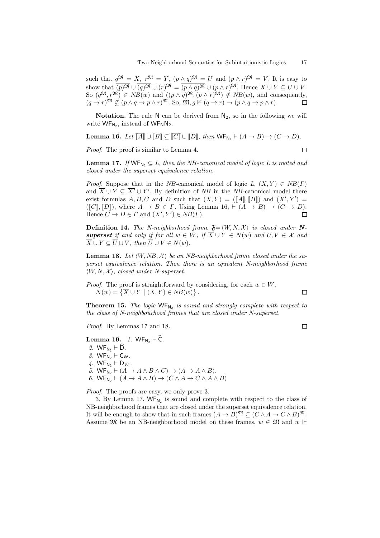such that  $q^{\mathfrak{M}} = X$ ,  $r^{\mathfrak{M}} = Y$ ,  $(p \wedge q)^{\mathfrak{M}} = U$  and  $(p \wedge r)^{\mathfrak{M}} = V$ . It is easy to show that  $\overline{(p)^\mathfrak{M}} \cup \overline{(q)^\mathfrak{M}} \cup (r)^\mathfrak{M} = \overline{(p \wedge q)^\mathfrak{M}} \cup (p \wedge r)^\mathfrak{M}$ . Hence  $\overline{X} \cup Y \subseteq \overline{U} \cup V$ . So  $(q^{\mathfrak{M}}, r^{\mathfrak{M}}) \in NB(w)$  and  $((p \wedge q)^{\mathfrak{M}}, (p \wedge r)^{\mathfrak{M}}) \notin NB(w)$ , and consequently,  $(q \to r)$ <sup>m</sup>  $\nsubseteq (p \land q \to p \land r)$ <sup>m</sup>. So, m,  $g \not\vdash (q \to r) \to (p \land q \to p \land r)$ .

**Notation.** The rule  $N$  can be derived from  $N_2$ , so in the following we will write  $\text{WF}_{N_2}$ , instead of  $\text{WF}_N N_2$ .

**Lemma 16.** *Let*  $\overline{[A]} \cup [B] \subseteq \overline{[C]} \cup [D]$ *, then*  $\mathsf{WF}_{\mathsf{N}_2} \vdash (A \to B) \to (C \to D)$ *.* 

*Proof.* The proof is similar to Lemma 4.

$$
\square
$$

 $\Box$ 

**Lemma 17.** *If*  $WF_{N_2} \subseteq L$ , then the *NB*-canonical model of logic L is rooted and *closed under the superset equivalence relation.*

*Proof.* Suppose that in the *NB*-canonical model of logic  $L$ ,  $(X, Y) \in NB(\Gamma)$ and  $X \cup Y \subseteq X' \cup Y'$ . By definition of *NB* in the *NB*-canonical model there exist formulas  $A, B, C$  and  $D$  such that  $(X, Y) = (\llbracket A \rrbracket, \llbracket B \rrbracket)$  and  $(X', Y') =$  $([C], [D])$ , where  $A \rightarrow B \in \Gamma$ . Using Lemma 16,  $\vdash (A \rightarrow B) \rightarrow (C \rightarrow D)$ . Hence  $C \to D \in \Gamma$  and  $(X', Y') \in NB(\Gamma)$ .  $\Box$ 

**Definition 14.** *The N-neighborhood frame*  $\mathfrak{F} = \langle W, N, \mathcal{X} \rangle$  *is closed under* N*superset if and only if for all*  $w \in W$ *, if*  $\overline{X} \cup Y \in N(w)$  *and*  $U, V \in \mathcal{X}$  *and*  $\overline{X} \cup Y \subseteq \overline{U} \cup V$ , then  $\overline{U} \cup V \in N(w)$ .

**Lemma 18.** Let  $\langle W, NB, X \rangle$  be an NB-neighborhood frame closed under the su*perset equivalence relation. Then there is an equvalent N-neighborhood frame*  $\langle W, N, \mathcal{X} \rangle$ , closed under N-superset.

*Proof.* The proof is straightforward by considering, for each  $w \in W$ ,  $N(w) = \{ \overline{X} \cup Y \mid (X, Y) \in NB(w) \}.$  $\Box$ 

**Theorem 15.** The logic  $WF_{N_2}$  is sound and strongly complete with respect to *the class of N-neighbourhood frames that are closed under N-superset.*

*Proof.* By Lemmas 17 and 18.

## **Lemma 19.** *1.*  $WF_{N_2} \vdash \hat{C}$ *.*

2.  $WF_{N_2} \vdash \widehat{D}$ . *3.*  $WF_{N_2} \vdash C_W$ .

- *4.*  $WF_{N_2}$   $\vdash$   $D_W$ .
- 5. WF<sub>N<sub>2</sub></sub>  $\vdash (A \rightarrow A \land B \land C) \rightarrow (A \rightarrow A \land B)$ .

 $6.$  WF<sub>N<sub>2</sub></sub>  $\vdash$   $(A \rightarrow A \land B) \rightarrow (C \land A \rightarrow C \land A \land B)$ 

*Proof.* The proofs are easy, we only prove 3.

3. By Lemma 17,  $WF_{N_2}$  is sound and complete with respect to the class of NB-neighborhood frames that are closed under the superset equivalence relation. It will be enough to show that in such frames  $(A \to B)$ <sup>M</sup>  $\subseteq (C \land A \to C \land B)$ <sup>M</sup>. Assume  $\mathfrak{M}$  be an NB-neighborhood model on these frames,  $w \in \mathfrak{M}$  and  $w \Vdash$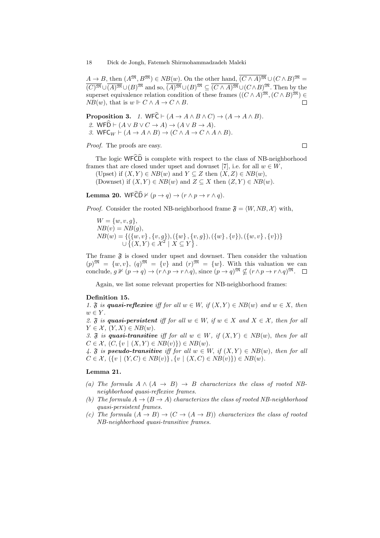$A \to B$ , then  $(A^{\mathfrak{M}}, B^{\mathfrak{M}}) \in NB(w)$ . On the other hand,  $\overline{(C \wedge A)^{\mathfrak{M}}} \cup (C \wedge B)^{\mathfrak{M}} =$  $\overline{(C)^\mathfrak{M}}\cup\overline{(A)^\mathfrak{M}}\cup(B)^\mathfrak{M}$  and so,  $\overline{(A)^\mathfrak{M}}\cup(B)^\mathfrak{M}\subseteq\overline{(C\wedge A)^\mathfrak{M}}\cup(C\wedge B)^\mathfrak{M}$ . Then by the superset equivalence relation condition of these frames  $((C \wedge A)^{\mathfrak{M}}, (C \wedge B)^{\mathfrak{M}}) \in$ *NB*(*w*), that is  $w \Vdash C \land A \to C \land B$ .  $\Box$ 

**Proposition 3.** *1.* WF $\hat{C} \vdash (A \rightarrow A \land B \land C) \rightarrow (A \rightarrow A \land B)$ . 2. WED  $\vdash (A \lor B \lor C \to A) \to (A \lor B \to A)$ . 3. WFC<sub>*W*</sub>  $\vdash$   $(A \rightarrow A \land B) \rightarrow (C \land A \rightarrow C \land A \land B)$ .

*Proof.* The proofs are easy.

 $\Box$ 

The logic  $WF\widehat{\mathbb{C}}\widehat{\mathbb{D}}$  is complete with respect to the class of NB-neighborhood frames that are closed under upset and downset [7], i.e. for all  $w \in W$ ,

(Upset) if  $(X, Y) \in NB(w)$  and  $Y \subseteq Z$  then  $(X, Z) \in NB(w)$ , (Downset) if  $(X, Y) \in NB(w)$  and  $Z \subseteq X$  then  $(Z, Y) \in NB(w)$ .

**Lemma 20.** WFC $\widehat{D} \nvDash (p \rightarrow q) \rightarrow (r \land p \rightarrow r \land q)$ .

*Proof.* Consider the rooted NB-neighborhood frame  $\mathfrak{F} = \langle W, NB, \mathcal{X} \rangle$  with,

 $W = \{w, v, g\},\$  $NB(v) = NB(q),$  $NB(w) = \{ (\{w, v\}, \{v, g\}), (\{w\}, \{v, g\}), (\{w\}, \{v\}), (\{w, v\}, \{v\}) \}$  $∪$  { $(X, Y) \in \mathcal{X}^2$  |  $X \subseteq Y$  }.

The frame  $\mathfrak F$  is closed under upset and downset. Then consider the valuation  $(p)^{\mathfrak{M}} = \{w, v\}$ ,  $(q)^{\mathfrak{M}} = \{v\}$  and  $(r)^{\mathfrak{M}} = \{w\}$ . With this valuation we can conclude,  $q \nvDash (p \rightarrow q) \rightarrow (r \land p \rightarrow r \land q)$ , since  $(p \rightarrow q)$ <sup>m</sup>,  $\nsubseteq (r \land p \rightarrow r \land q)$ <sup>m</sup>.  $\square$ 

Again, we list some relevant properties for NB-neighborhood frames:

### **Definition 15.**

*1.*  $\tilde{\mathbf{x}}$  *is quasi-reflexive iff for all*  $w \in W$ , *if*  $(X, Y) \in NB(w)$  *and*  $w \in X$ , *then*  $w \in Y$ .

2.  $\mathfrak{F}$  *is quasi-persistent iff for all*  $w \in W$ , *if*  $w \in X$  and  $X \in \mathcal{X}$ , then for all  $Y \in \mathcal{X}$ ,  $(Y, X) \in NB(w)$ .

*3.*  $\mathfrak{F}$  *is quasi-transitive iff for all*  $w \in W$ *, if*  $(X, Y) \in NB(w)$ *, then for all*  $C \in \mathcal{X}$ ,  $(C, \{v \mid (X, Y) \in NB(v)\}) \in NB(w)$ .

4.  $\mathfrak{F}$  *is pseudo-transitive iff for all*  $w \in W$ , *if*  $(X, Y) \in NB(w)$ , *then for all*  $C \in \mathcal{X}, (\{v \mid (Y, C) \in NB(v)\}, \{v \mid (X, C) \in NB(v)\}) \in NB(w).$ 

### **Lemma 21.**

- (a) The formula  $A \wedge (A \rightarrow B) \rightarrow B$  characterizes the class of rooted NB*neighborhood quasi-reflexive frames.*
- *(b) The formula*  $A \rightarrow (B \rightarrow A)$  *characterizes the class of rooted NB-neighborhood quasi-persistent frames.*
- *(c) The formula*  $(A \rightarrow B) \rightarrow (C \rightarrow (A \rightarrow B))$  *characterizes the class of rooted NB-neighborhood quasi-transitive frames.*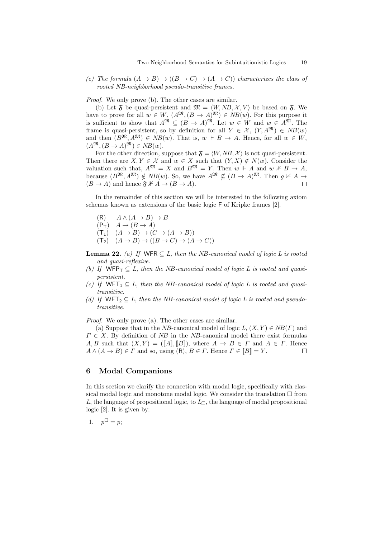*(c) The formula*  $(A \rightarrow B) \rightarrow ((B \rightarrow C) \rightarrow (A \rightarrow C))$  *characterizes the class of rooted NB-neighborhood pseudo-transitive frames.*

*Proof.* We only prove (b). The other cases are similar.

(b) Let  $\mathfrak{F}$  be quasi-persistent and  $\mathfrak{M} = \langle W, NB, \mathcal{X}, V \rangle$  be based on  $\mathfrak{F}$ . We have to prove for all  $w \in W$ ,  $(A^{\mathfrak{M}}, (B \to A)^{\mathfrak{M}}) \in NB(w)$ . For this purpose it is sufficient to show that  $A^{\mathfrak{M}} \subseteq (B \to A)^{\mathfrak{M}}$ . Let  $w \in W$  and  $w \in A^{\mathfrak{M}}$ . The frame is quasi-persistent, so by definition for all  $Y \in \mathcal{X}$ ,  $(Y, A^{\mathfrak{M}}) \in NB(w)$ and then  $(B^{\mathfrak{M}}, A^{\mathfrak{M}}) \in NB(w)$ . That is,  $w \Vdash B \to A$ . Hence, for all  $w \in W$ ,  $(A^{\mathfrak{M}}, (B \to A)^{\mathfrak{M}}) \in NB(w).$ 

For the other direction, suppose that  $\mathfrak{F} = \langle W, NB, \mathcal{X} \rangle$  is not quasi-persistent. Then there are  $X, Y \in \mathcal{X}$  and  $w \in X$  such that  $(Y, X) \notin N(w)$ . Consider the valuation such that,  $A^{\mathfrak{M}} = X$  and  $B^{\mathfrak{M}} = Y$ . Then  $w \Vdash A$  and  $w \nvDash B \rightarrow A$ , because  $(B^{\mathfrak{M}}, A^{\mathfrak{M}}) \notin NB(w)$ . So, we have  $A^{\mathfrak{M}} \nsubseteq (B \to A)^{\mathfrak{M}}$ . Then  $g \nVdash A \to$  $(B \to A)$  and hence  $\mathfrak{F} \nVdash A \to (B \to A)$ .  $\Box$ 

In the remainder of this section we will be interested in the following axiom schemas known as extensions of the basic logic F of Kripke frames [2].

- $(A \cap B)$   $A \wedge (A \rightarrow B) \rightarrow B$
- $(P_T)$   $A \rightarrow (B \rightarrow A)$
- $(C \rightarrow (A \rightarrow B) \rightarrow (C \rightarrow (A \rightarrow B))$
- $(T_2)$   $(A \rightarrow B) \rightarrow ((B \rightarrow C) \rightarrow (A \rightarrow C))$
- **Lemma 22.** *(a)* If WFR  $\subseteq L$ , then the NB-canonical model of logic L is rooted *and quasi-reflexive.*
- *(b)* If  $WFP_T \subseteq L$ , then the NB-canonical model of logic L is rooted and quasi*persistent.*
- *(c)* If  $WFT_1 \subseteq L$ , then the NB-canonical model of logic L is rooted and quasi*transitive.*
- *(d)* If  $WFT_2 \subseteq L$ , then the NB-canonical model of logic L is rooted and pseudo*transitive.*

*Proof.* We only prove (a). The other cases are similar.

(a) Suppose that in the *NB*-canonical model of logic  $L$ ,  $(X, Y) \in NB(\Gamma)$  and  $\Gamma \in X$ . By definition of *NB* in the *NB*-canonical model there exist formulas *A, B* such that  $(X, Y) = (\llbracket A \rrbracket, \llbracket B \rrbracket)$ , where  $A \rightarrow B \in \Gamma$  and  $A \in \Gamma$ . Hence  $A \wedge (A \rightarrow B) \in \Gamma$  and so, using  $(R), B \in \Gamma$ . Hence  $\Gamma \in [B] = Y$ .  $\Box$ 

### **6 Modal Companions**

In this section we clarify the connection with modal logic, specifically with classical modal logic and monotone modal logic. We consider the translation  $\Box$  from *L*, the language of propositional logic, to  $L_{\Box}$ , the language of modal propositional logic [2]. It is given by:

1. 
$$
p^{\perp} = p
$$
;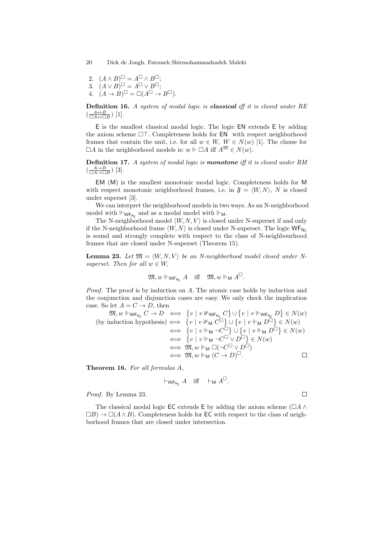- 2.  $(A \wedge B)^{\sqcup} = A^{\sqcup} \wedge B^{\sqcup}$ ;
- $(A \vee B)^{\sqcup} = A^{\sqcup} \vee B^{\sqcup};$
- 4.  $(A \rightarrow B)^{\sqcup} = \Box(A^{\sqcup} \rightarrow B^{\sqcup}).$

**Definition 16.** *A system of modal logic is classical iff it is closed under RE*  $\left(\frac{A \leftrightarrow B}{\Box A \leftrightarrow \Box B}\right) [1].$ 

E is the smallest classical modal logic. The logic EN extends E by adding the axiom scheme  $\Box$ T. Completeness holds for **EN** with respect neighborhood frames that contain the unit, i.e. for all  $w \in W$ ,  $W \in N(w)$  [1]. The clause for  $\Box A$  in the neighborhood models is:  $w \Vdash \Box A$  iff  $A^{\mathfrak{M}} \in N(w)$ .

**Definition 17.** *A system of modal logic is monotone iff it is closed under RM*  $\left(\frac{A\rightarrow B}{\Box A\rightarrow \Box B}\right)$  [3].

EM (M) is the smallest monotonic modal logic. Completeness holds for M with respect monotonic neighborhood frames, i.e. in  $\mathfrak{F} = \langle W, N \rangle$ , N is closed under superset [3].

We can interpret the neighborhood models in two ways. As an N-neighborhood model with  $\mathbb{H}_{\mathsf{WF}_{\mathsf{N}_2}}$  and as a modal model with  $\mathbb{H}_{\mathsf{M}}$ .

The N-neighborhood model  $\langle W, N, V \rangle$  is closed under N-superset if and only if the N-neighborhood frame  $\langle W, N \rangle$  is closed under N-superset. The logic  $W_{N_2}$ is sound and strongly complete with respect to the class of N-neighbourhood frames that are closed under N-superset (Theorem 15).

**Lemma 23.** Let  $\mathfrak{M} = \langle W, N, V \rangle$  be an N-neighborhood model closed under N*superset. Then for all*  $w \in W$ ,

$$
\mathfrak{M}, w \Vdash_{\mathsf{WF}_{\mathsf{N}_2}} A \quad \text{iff} \quad \mathfrak{M}, w \Vdash_{\mathsf{M}} A^{\sqcup}.
$$

*Proof.* The proof is by induction on *A*. The atomic case holds by induction and the conjunction and disjunction cases are easy. We only check the implication case. So let  $A = C \rightarrow D$ , then

$$
\mathfrak{M}, w \Vdash_{\mathsf{WF}_{\mathsf{N}_2}} C \to D \iff \{v \mid v \nVdash_{\mathsf{WF}_{\mathsf{N}_2}} C\} \cup \{v \mid v \Vdash_{\mathsf{WF}_{\mathsf{N}_2}} D\} \in N(w)
$$
\n(by induction hypothesis)  $\iff$  
$$
\{v \mid v \nVdash_{\mathsf{M}} C^{\Box}\} \cup \{v \mid v \Vdash_{\mathsf{M}} D^{\Box}\} \in N(w)
$$
\n
$$
\iff \{v \mid v \Vdash_{\mathsf{M}} \neg C^{\Box}\} \cup \{v \mid v \Vdash_{\mathsf{M}} D^{\Box}\} \in N(w)
$$
\n
$$
\iff \{v \mid v \Vdash_{\mathsf{M}} \neg C^{\Box} \vee D^{\Box}\} \in N(w)
$$
\n
$$
\iff \mathfrak{M}, w \Vdash_{\mathsf{M}} \Box (\neg C^{\Box} \vee D^{\Box})
$$
\n
$$
\iff \mathfrak{M}, w \Vdash_{\mathsf{M}} (C \to D)^{\Box}.
$$

**Theorem 16.** *For all formulas A,*

$$
\vdash_{\mathsf{WF}_{\mathsf{N}_2}} A \quad \text{iff} \quad \vdash_{\mathsf{M}} A^{\sqcup}.
$$

 $\Box$ 

*Proof.* By Lemma 23.

The classical modal logic EC extends E by adding the axiom scheme ( $\Box A \wedge \Box B$ )  $\Box B) \rightarrow \Box(A \land B)$ . Completeness holds for **EC** with respect to the class of neighborhood frames that are closed under intersection.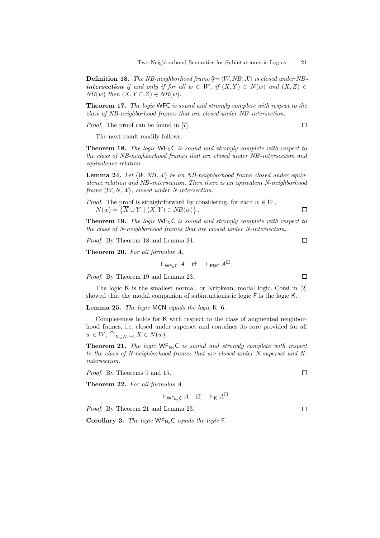**Definition 18.** *The NB-neighborhood frame*  $\mathfrak{F} = \langle W, NB, \mathcal{X} \rangle$  *is closed under* NB*intersection if and only if for all*  $w \in W$ *, if*  $(X, Y) \in N(w)$  *and*  $(X, Z) \in$  $NB(w)$  *then*  $(X, Y \cap Z) \in NB(w)$ *.* 

**Theorem 17.** *The logic* WFC *is sound and strongly complete with respect to the class of NB-neighborhood frames that are closed under NB-intersection.*

*Proof.* The proof can be found in [7].

 $\Box$ 

The next result readily follows.

**Theorem 18.** *The logic* WF<sub>N</sub>C *is sound and strongly complete with respect to the class of NB-neighborhood frames that are closed under NB-intersection and equivalence relation.*

**Lemma 24.** Let  $\langle W, NB, \mathcal{X} \rangle$  be an NB-neighborhood frame closed under equiv*alence relation and NB-intersection. Then there is an equivalent N-neighborhood frame*  $\langle W, N, \mathcal{X} \rangle$ , closed under N-intersection.

*Proof.* The proof is straightforward by considering, for each  $w \in W$ ,  $N(w) = \{ \overline{X} \cup Y \mid (X, Y) \in NB(w) \}.$ 

**Theorem 19.** *The logic* WF<sub>N</sub>C *is sound and strongly complete with respect to the class of N-neighborhood frames that are closed under N-intersection.*

*Proof.* By Theorem 18 and Lemma 24.

**Theorem 20.** *For all formulas A,*

 $\vdash_{\mathsf{W}\mathsf{F}_{\mathsf{N}}\mathsf{C}} A$  iff  $\vdash_{\mathsf{ENC}} A^{\sqcup}$ .

*Proof.* By Theorem 19 and Lemma 23.

The logic K is the smallest normal, or Kripkean, modal logic. Corsi in [2] showed that the modal companion of subintuitionistic logic F is the logic K.

**Lemma 25.** *The logic* MCN *equals the logic* K [6]*.*

Completeness holds for K with respect to the class of augmented neighborhood frames, i.e. closed under superset and containes its core provided for all  $w \in W$ ,  $\bigcap_{X \in N(w)} X \in N(w)$ .

**Theorem 21.** *The logic* WF<sub>N<sub>2</sub></sub>C *is sound and strongly complete with respect to the class of N-neighborhood frames that are closed under N-superset and Nintersection.*

*Proof.* By Theorems 9 and 15.

**Theorem 22.** *For all formulas A,*

 $\vdash_{\mathsf{WF}_{\mathsf{N}_2} \mathsf{C}} A$  iff  $\vdash_{\mathsf{K}} A^{\sqcup}.$ 

*Proof.* By Theorem 21 and Lemma 23.

Corollary 3. *The logic* WF<sub>N<sub>2</sub></sub>C *equals the logic* F.

 $\Box$ 

 $\Box$ 

 $\Box$ 

 $\Box$ 

 $\Box$